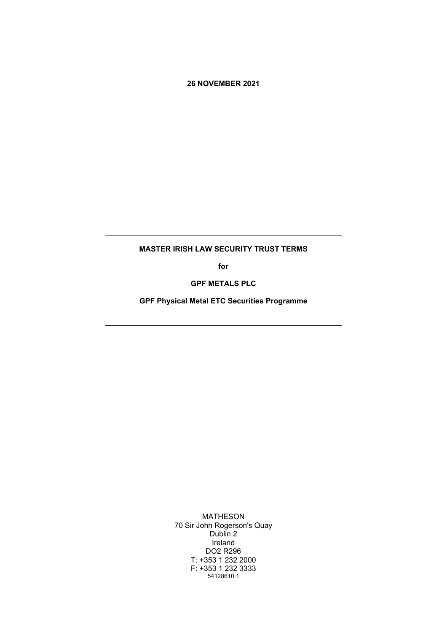**26 NOVEMBER 2021**

## **MASTER IRISH LAW SECURITY TRUST TERMS**

**for**

**GPF METALS PLC**

**GPF Physical Metal ETC Securities Programme**

MATHESON 70 Sir John Rogerson's Quay Dublin 2 Ireland DO2 R296 T: +353 1 232 2000 F: +353 1 232 3333 54128610.1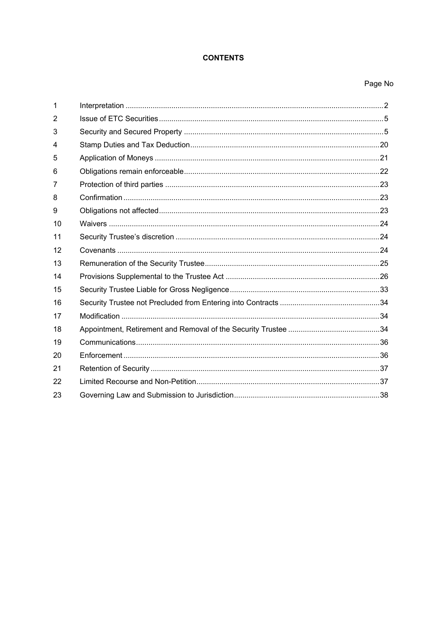## **CONTENTS**

# Page No

| 1  |  |
|----|--|
| 2  |  |
| 3  |  |
| 4  |  |
| 5  |  |
| 6  |  |
| 7  |  |
| 8  |  |
| 9  |  |
| 10 |  |
| 11 |  |
| 12 |  |
| 13 |  |
| 14 |  |
| 15 |  |
| 16 |  |
| 17 |  |
| 18 |  |
| 19 |  |
| 20 |  |
| 21 |  |
| 22 |  |
| 23 |  |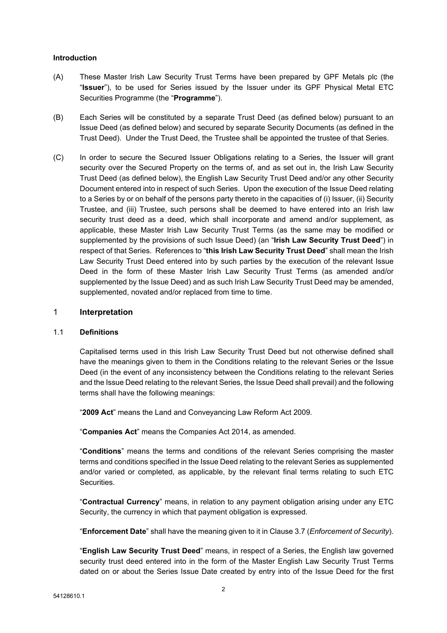#### **Introduction**

- (A) These Master Irish Law Security Trust Terms have been prepared by GPF Metals plc (the "**Issuer**"), to be used for Series issued by the Issuer under its GPF Physical Metal ETC Securities Programme (the "**Programme**").
- (B) Each Series will be constituted by a separate Trust Deed (as defined below) pursuant to an Issue Deed (as defined below) and secured by separate Security Documents (as defined in the Trust Deed). Under the Trust Deed, the Trustee shall be appointed the trustee of that Series.
- (C) In order to secure the Secured Issuer Obligations relating to a Series, the Issuer will grant security over the Secured Property on the terms of, and as set out in, the Irish Law Security Trust Deed (as defined below), the English Law Security Trust Deed and/or any other Security Document entered into in respect of such Series. Upon the execution of the Issue Deed relating to a Series by or on behalf of the persons party thereto in the capacities of (i) Issuer, (ii) Security Trustee, and (iii) Trustee, such persons shall be deemed to have entered into an Irish law security trust deed as a deed, which shall incorporate and amend and/or supplement, as applicable, these Master Irish Law Security Trust Terms (as the same may be modified or supplemented by the provisions of such Issue Deed) (an "**Irish Law Security Trust Deed**") in respect of that Series. References to "**this Irish Law Security Trust Deed**" shall mean the Irish Law Security Trust Deed entered into by such parties by the execution of the relevant Issue Deed in the form of these Master Irish Law Security Trust Terms (as amended and/or supplemented by the Issue Deed) and as such Irish Law Security Trust Deed may be amended, supplemented, novated and/or replaced from time to time.

#### <span id="page-2-0"></span>1 **Interpretation**

#### 1.1 **Definitions**

Capitalised terms used in this Irish Law Security Trust Deed but not otherwise defined shall have the meanings given to them in the Conditions relating to the relevant Series or the Issue Deed (in the event of any inconsistency between the Conditions relating to the relevant Series and the Issue Deed relating to the relevant Series, the Issue Deed shall prevail) and the following terms shall have the following meanings:

"**2009 Act**" means the Land and Conveyancing Law Reform Act 2009.

"**Companies Act**" means the Companies Act 2014, as amended.

"**Conditions**" means the terms and conditions of the relevant Series comprising the master terms and conditions specified in the Issue Deed relating to the relevant Series as supplemented and/or varied or completed, as applicable, by the relevant final terms relating to such ETC Securities.

"**Contractual Currency**" means, in relation to any payment obligation arising under any ETC Security, the currency in which that payment obligation is expressed.

"**Enforcement Date**" shall have the meaning given to it in Clause [3.7](#page-8-0) (*[Enforcement](#page-8-0) of Security*).

"**English Law Security Trust Deed**" means, in respect of a Series, the English law governed security trust deed entered into in the form of the Master English Law Security Trust Terms dated on or about the Series Issue Date created by entry into of the Issue Deed for the first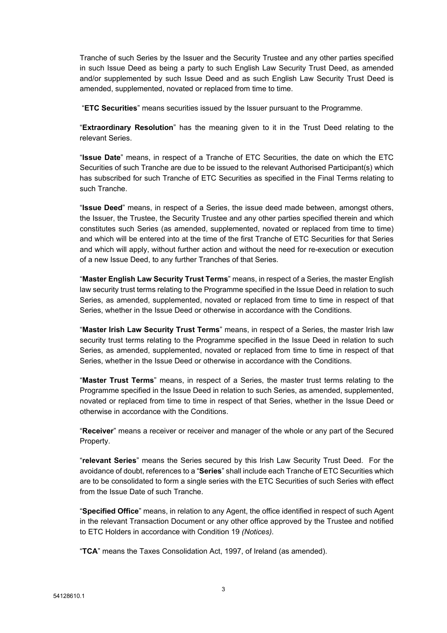Tranche of such Series by the Issuer and the Security Trustee and any other parties specified in such Issue Deed as being a party to such English Law Security Trust Deed, as amended and/or supplemented by such Issue Deed and as such English Law Security Trust Deed is amended, supplemented, novated or replaced from time to time.

"**ETC Securities**" means securities issued by the Issuer pursuant to the Programme.

"**Extraordinary Resolution**" has the meaning given to it in the Trust Deed relating to the relevant Series.

"**Issue Date**" means, in respect of a Tranche of ETC Securities, the date on which the ETC Securities of such Tranche are due to be issued to the relevant Authorised Participant(s) which has subscribed for such Tranche of ETC Securities as specified in the Final Terms relating to such Tranche.

"**Issue Deed**" means, in respect of a Series, the issue deed made between, amongst others, the Issuer, the Trustee, the Security Trustee and any other parties specified therein and which constitutes such Series (as amended, supplemented, novated or replaced from time to time) and which will be entered into at the time of the first Tranche of ETC Securities for that Series and which will apply, without further action and without the need for re-execution or execution of a new Issue Deed, to any further Tranches of that Series.

"**Master English Law Security Trust Terms**" means, in respect of a Series, the master English law security trust terms relating to the Programme specified in the Issue Deed in relation to such Series, as amended, supplemented, novated or replaced from time to time in respect of that Series, whether in the Issue Deed or otherwise in accordance with the Conditions.

"**Master Irish Law Security Trust Terms**" means, in respect of a Series, the master Irish law security trust terms relating to the Programme specified in the Issue Deed in relation to such Series, as amended, supplemented, novated or replaced from time to time in respect of that Series, whether in the Issue Deed or otherwise in accordance with the Conditions.

"**Master Trust Terms**" means, in respect of a Series, the master trust terms relating to the Programme specified in the Issue Deed in relation to such Series, as amended, supplemented, novated or replaced from time to time in respect of that Series, whether in the Issue Deed or otherwise in accordance with the Conditions.

"**Receiver**" means a receiver or receiver and manager of the whole or any part of the Secured Property.

"**relevant Series**" means the Series secured by this Irish Law Security Trust Deed. For the avoidance of doubt, references to a "**Series**" shall include each Tranche of ETC Securities which are to be consolidated to form a single series with the ETC Securities of such Series with effect from the Issue Date of such Tranche.

"**Specified Office**" means, in relation to any Agent, the office identified in respect of such Agent in the relevant Transaction Document or any other office approved by the Trustee and notified to ETC Holders in accordance with Condition 19 *(Notices)*.

"**TCA**" means the Taxes Consolidation Act, 1997, of Ireland (as amended).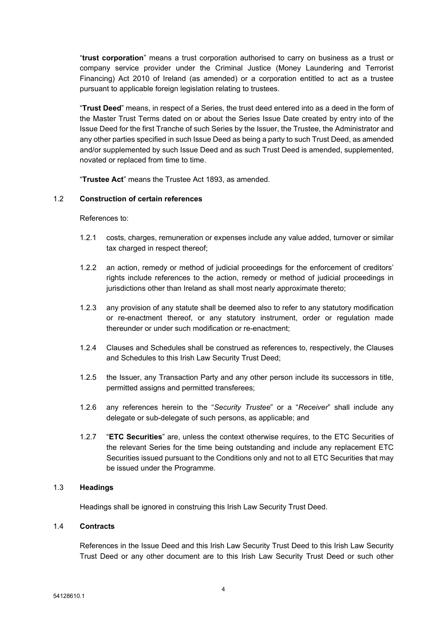"**trust corporation**" means a trust corporation authorised to carry on business as a trust or company service provider under the Criminal Justice (Money Laundering and Terrorist Financing) Act 2010 of Ireland (as amended) or a corporation entitled to act as a trustee pursuant to applicable foreign legislation relating to trustees.

"**Trust Deed**" means, in respect of a Series, the trust deed entered into as a deed in the form of the Master Trust Terms dated on or about the Series Issue Date created by entry into of the Issue Deed for the first Tranche of such Series by the Issuer, the Trustee, the Administrator and any other parties specified in such Issue Deed as being a party to such Trust Deed, as amended and/or supplemented by such Issue Deed and as such Trust Deed is amended, supplemented, novated or replaced from time to time.

"**Trustee Act**" means the Trustee Act 1893, as amended.

#### 1.2 **Construction of certain references**

#### References to:

- 1.2.1 costs, charges, remuneration or expenses include any value added, turnover or similar tax charged in respect thereof;
- 1.2.2 an action, remedy or method of judicial proceedings for the enforcement of creditors' rights include references to the action, remedy or method of judicial proceedings in jurisdictions other than Ireland as shall most nearly approximate thereto;
- 1.2.3 any provision of any statute shall be deemed also to refer to any statutory modification or re-enactment thereof, or any statutory instrument, order or regulation made thereunder or under such modification or re-enactment;
- 1.2.4 Clauses and Schedules shall be construed as references to, respectively, the Clauses and Schedules to this Irish Law Security Trust Deed;
- 1.2.5 the Issuer, any Transaction Party and any other person include its successors in title, permitted assigns and permitted transferees;
- 1.2.6 any references herein to the "*Security Trustee*" or a "*Receiver*" shall include any delegate or sub-delegate of such persons, as applicable; and
- 1.2.7 "**ETC Securities**" are, unless the context otherwise requires, to the ETC Securities of the relevant Series for the time being outstanding and include any replacement ETC Securities issued pursuant to the Conditions only and not to all ETC Securities that may be issued under the Programme.

#### 1.3 **Headings**

Headings shall be ignored in construing this Irish Law Security Trust Deed.

#### 1.4 **Contracts**

References in the Issue Deed and this Irish Law Security Trust Deed to this Irish Law Security Trust Deed or any other document are to this Irish Law Security Trust Deed or such other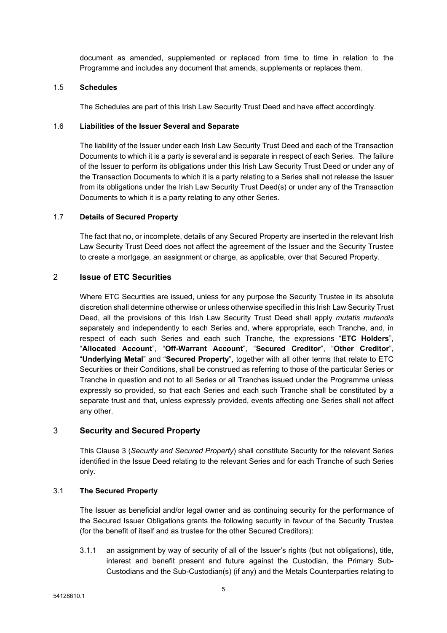document as amended, supplemented or replaced from time to time in relation to the Programme and includes any document that amends, supplements or replaces them.

#### 1.5 **Schedules**

The Schedules are part of this Irish Law Security Trust Deed and have effect accordingly.

#### 1.6 **Liabilities of the Issuer Several and Separate**

The liability of the Issuer under each Irish Law Security Trust Deed and each of the Transaction Documents to which it is a party is several and is separate in respect of each Series. The failure of the Issuer to perform its obligations under this Irish Law Security Trust Deed or under any of the Transaction Documents to which it is a party relating to a Series shall not release the Issuer from its obligations under the Irish Law Security Trust Deed(s) or under any of the Transaction Documents to which it is a party relating to any other Series.

### 1.7 **Details of Secured Property**

The fact that no, or incomplete, details of any Secured Property are inserted in the relevant Irish Law Security Trust Deed does not affect the agreement of the Issuer and the Security Trustee to create a mortgage, an assignment or charge, as applicable, over that Secured Property.

## <span id="page-5-0"></span>2 **Issue of ETC Securities**

Where ETC Securities are issued, unless for any purpose the Security Trustee in its absolute discretion shall determine otherwise or unless otherwise specified in this Irish Law Security Trust Deed, all the provisions of this Irish Law Security Trust Deed shall apply *mutatis mutandis* separately and independently to each Series and, where appropriate, each Tranche, and, in respect of each such Series and each such Tranche, the expressions "**ETC Holders**", "**Allocated Account**", "**Off-Warrant Account**", "**Secured Creditor**", "**Other Creditor**", "**Underlying Metal**" and "**Secured Property**", together with all other terms that relate to ETC Securities or their Conditions, shall be construed as referring to those of the particular Series or Tranche in question and not to all Series or all Tranches issued under the Programme unless expressly so provided, so that each Series and each such Tranche shall be constituted by a separate trust and that, unless expressly provided, events affecting one Series shall not affect any other.

### <span id="page-5-1"></span>3 **Security and Secured Property**

This Clause [3](#page-5-1) (*Security and Secured [Property](#page-5-1)*) shall constitute Security for the relevant Series identified in the Issue Deed relating to the relevant Series and for each Tranche of such Series only.

### 3.1 **The Secured Property**

The Issuer as beneficial and/or legal owner and as continuing security for the performance of the Secured Issuer Obligations grants the following security in favour of the Security Trustee (for the benefit of itself and as trustee for the other Secured Creditors):

3.1.1 an assignment by way of security of all of the Issuer's rights (but not obligations), title, interest and benefit present and future against the Custodian, the Primary Sub-Custodians and the Sub-Custodian(s) (if any) and the Metals Counterparties relating to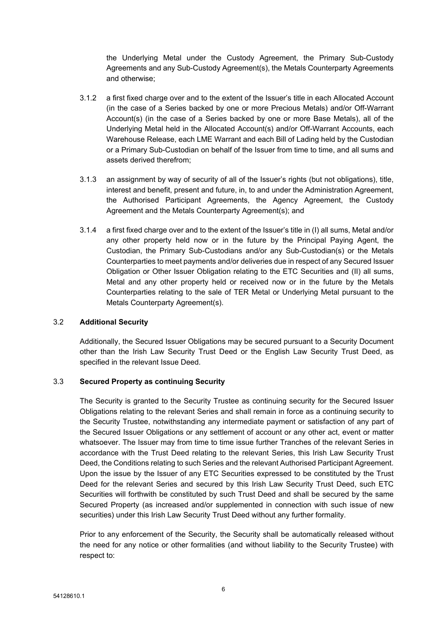the Underlying Metal under the Custody Agreement, the Primary Sub-Custody Agreements and any Sub-Custody Agreement(s), the Metals Counterparty Agreements and otherwise;

- 3.1.2 a first fixed charge over and to the extent of the Issuer's title in each Allocated Account (in the case of a Series backed by one or more Precious Metals) and/or Off-Warrant Account(s) (in the case of a Series backed by one or more Base Metals), all of the Underlying Metal held in the Allocated Account(s) and/or Off-Warrant Accounts, each Warehouse Release, each LME Warrant and each Bill of Lading held by the Custodian or a Primary Sub-Custodian on behalf of the Issuer from time to time, and all sums and assets derived therefrom;
- 3.1.3 an assignment by way of security of all of the Issuer's rights (but not obligations), title, interest and benefit, present and future, in, to and under the Administration Agreement, the Authorised Participant Agreements, the Agency Agreement, the Custody Agreement and the Metals Counterparty Agreement(s); and
- 3.1.4 a first fixed charge over and to the extent of the Issuer's title in (I) all sums, Metal and/or any other property held now or in the future by the Principal Paying Agent, the Custodian, the Primary Sub-Custodians and/or any Sub-Custodian(s) or the Metals Counterparties to meet payments and/or deliveries due in respect of any Secured Issuer Obligation or Other Issuer Obligation relating to the ETC Securities and (II) all sums, Metal and any other property held or received now or in the future by the Metals Counterparties relating to the sale of TER Metal or Underlying Metal pursuant to the Metals Counterparty Agreement(s).

### 3.2 **Additional Security**

Additionally, the Secured Issuer Obligations may be secured pursuant to a Security Document other than the Irish Law Security Trust Deed or the English Law Security Trust Deed, as specified in the relevant Issue Deed.

### 3.3 **Secured Property as continuing Security**

The Security is granted to the Security Trustee as continuing security for the Secured Issuer Obligations relating to the relevant Series and shall remain in force as a continuing security to the Security Trustee, notwithstanding any intermediate payment or satisfaction of any part of the Secured Issuer Obligations or any settlement of account or any other act, event or matter whatsoever. The Issuer may from time to time issue further Tranches of the relevant Series in accordance with the Trust Deed relating to the relevant Series, this Irish Law Security Trust Deed, the Conditions relating to such Series and the relevant Authorised Participant Agreement. Upon the issue by the Issuer of any ETC Securities expressed to be constituted by the Trust Deed for the relevant Series and secured by this Irish Law Security Trust Deed, such ETC Securities will forthwith be constituted by such Trust Deed and shall be secured by the same Secured Property (as increased and/or supplemented in connection with such issue of new securities) under this Irish Law Security Trust Deed without any further formality.

Prior to any enforcement of the Security, the Security shall be automatically released without the need for any notice or other formalities (and without liability to the Security Trustee) with respect to: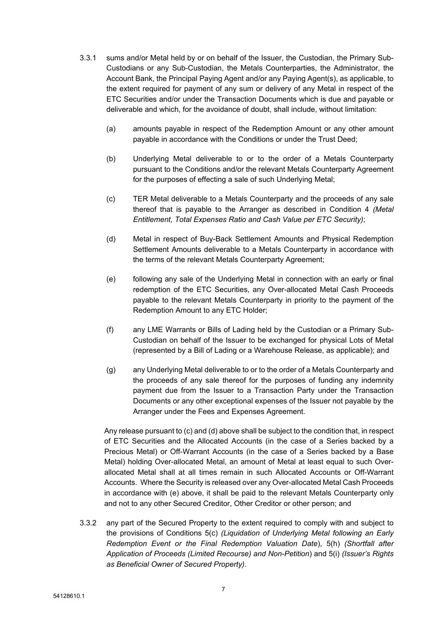- 3.3.1 sums and/or Metal held by or on behalf of the Issuer, the Custodian, the Primary Sub-Custodians or any Sub-Custodian, the Metals Counterparties, the Administrator, the Account Bank, the Principal Paying Agent and/or any Paying Agent(s), as applicable, to the extent required for payment of any sum or delivery of any Metal in respect of the ETC Securities and/or under the Transaction Documents which is due and payable or deliverable and which, for the avoidance of doubt, shall include, without limitation:
	- (a) amounts payable in respect of the Redemption Amount or any other amount payable in accordance with the Conditions or under the Trust Deed;
	- (b) Underlying Metal deliverable to or to the order of a Metals Counterparty pursuant to the Conditions and/or the relevant Metals Counterparty Agreement for the purposes of effecting a sale of such Underlying Metal;
	- (c) TER Metal deliverable to a Metals Counterparty and the proceeds of any sale thereof that is payable to the Arranger as described in Condition 4 *(Metal Entitlement, Total Expenses Ratio and Cash Value per ETC Security)*;
	- (d) Metal in respect of Buy-Back Settlement Amounts and Physical Redemption Settlement Amounts deliverable to a Metals Counterparty in accordance with the terms of the relevant Metals Counterparty Agreement;
	- (e) following any sale of the Underlying Metal in connection with an early or final redemption of the ETC Securities, any Over-allocated Metal Cash Proceeds payable to the relevant Metals Counterparty in priority to the payment of the Redemption Amount to any ETC Holder;
	- (f) any LME Warrants or Bills of Lading held by the Custodian or a Primary Sub-Custodian on behalf of the Issuer to be exchanged for physical Lots of Metal (represented by a Bill of Lading or a Warehouse Release, as applicable); and
	- (g) any Underlying Metal deliverable to or to the order of a Metals Counterparty and the proceeds of any sale thereof for the purposes of funding any indemnity payment due from the Issuer to a Transaction Party under the Transaction Documents or any other exceptional expenses of the Issuer not payable by the Arranger under the Fees and Expenses Agreement.

Any release pursuant to (c) and (d) above shall be subject to the condition that, in respect of ETC Securities and the Allocated Accounts (in the case of a Series backed by a Precious Metal) or Off-Warrant Accounts (in the case of a Series backed by a Base Metal) holding Over-allocated Metal, an amount of Metal at least equal to such Overallocated Metal shall at all times remain in such Allocated Accounts or Off-Warrant Accounts. Where the Security is released over any Over-allocated Metal Cash Proceeds in accordance with (e) above, it shall be paid to the relevant Metals Counterparty only and not to any other Secured Creditor, Other Creditor or other person; and

3.3.2 any part of the Secured Property to the extent required to comply with and subject to the provisions of Conditions 5(c) *(Liquidation of Underlying Metal following an Early Redemption Event or the Final Redemption Valuation Date*), 5(h) *(Shortfall after Application of Proceeds (Limited Recourse) and Non-Petition*) and 5(i) *(Issuer's Rights as Beneficial Owner of Secured Property).*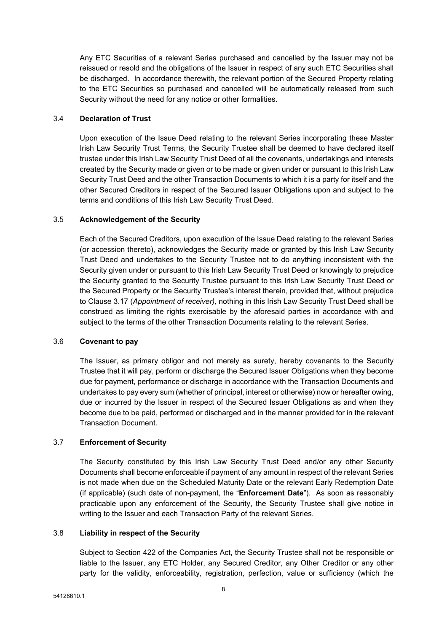Any ETC Securities of a relevant Series purchased and cancelled by the Issuer may not be reissued or resold and the obligations of the Issuer in respect of any such ETC Securities shall be discharged. In accordance therewith, the relevant portion of the Secured Property relating to the ETC Securities so purchased and cancelled will be automatically released from such Security without the need for any notice or other formalities.

#### 3.4 **Declaration of Trust**

Upon execution of the Issue Deed relating to the relevant Series incorporating these Master Irish Law Security Trust Terms, the Security Trustee shall be deemed to have declared itself trustee under this Irish Law Security Trust Deed of all the covenants, undertakings and interests created by the Security made or given or to be made or given under or pursuant to this Irish Law Security Trust Deed and the other Transaction Documents to which it is a party for itself and the other Secured Creditors in respect of the Secured Issuer Obligations upon and subject to the terms and conditions of this Irish Law Security Trust Deed.

#### 3.5 **Acknowledgement of the Security**

Each of the Secured Creditors, upon execution of the Issue Deed relating to the relevant Series (or accession thereto), acknowledges the Security made or granted by this Irish Law Security Trust Deed and undertakes to the Security Trustee not to do anything inconsistent with the Security given under or pursuant to this Irish Law Security Trust Deed or knowingly to prejudice the Security granted to the Security Trustee pursuant to this Irish Law Security Trust Deed or the Secured Property or the Security Trustee's interest therein, provided that, without prejudice to Clause [3.17](#page-12-0) (*Appointment of receiver),* nothing in this Irish Law Security Trust Deed shall be construed as limiting the rights exercisable by the aforesaid parties in accordance with and subject to the terms of the other Transaction Documents relating to the relevant Series.

#### 3.6 **Covenant to pay**

The Issuer, as primary obligor and not merely as surety, hereby covenants to the Security Trustee that it will pay, perform or discharge the Secured Issuer Obligations when they become due for payment, performance or discharge in accordance with the Transaction Documents and undertakes to pay every sum (whether of principal, interest or otherwise) now or hereafter owing, due or incurred by the Issuer in respect of the Secured Issuer Obligations as and when they become due to be paid, performed or discharged and in the manner provided for in the relevant Transaction Document.

### <span id="page-8-0"></span>3.7 **Enforcement of Security**

The Security constituted by this Irish Law Security Trust Deed and/or any other Security Documents shall become enforceable if payment of any amount in respect of the relevant Series is not made when due on the Scheduled Maturity Date or the relevant Early Redemption Date (if applicable) (such date of non-payment, the "**Enforcement Date**"). As soon as reasonably practicable upon any enforcement of the Security, the Security Trustee shall give notice in writing to the Issuer and each Transaction Party of the relevant Series.

#### 3.8 **Liability in respect of the Security**

Subject to Section 422 of the Companies Act, the Security Trustee shall not be responsible or liable to the Issuer, any ETC Holder, any Secured Creditor, any Other Creditor or any other party for the validity, enforceability, registration, perfection, value or sufficiency (which the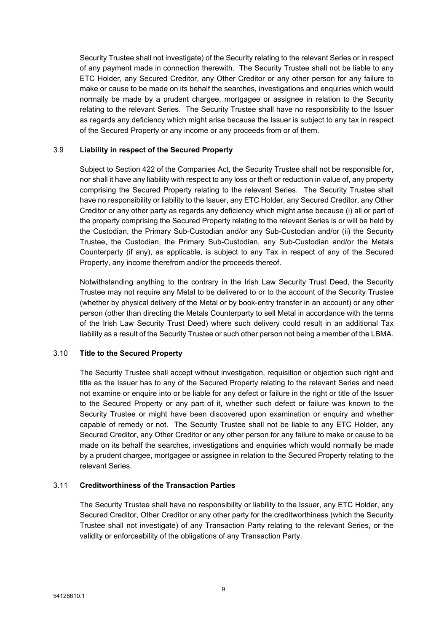Security Trustee shall not investigate) of the Security relating to the relevant Series or in respect of any payment made in connection therewith. The Security Trustee shall not be liable to any ETC Holder, any Secured Creditor, any Other Creditor or any other person for any failure to make or cause to be made on its behalf the searches, investigations and enquiries which would normally be made by a prudent chargee, mortgagee or assignee in relation to the Security relating to the relevant Series. The Security Trustee shall have no responsibility to the Issuer as regards any deficiency which might arise because the Issuer is subject to any tax in respect of the Secured Property or any income or any proceeds from or of them.

## 3.9 **Liability in respect of the Secured Property**

Subject to Section 422 of the Companies Act, the Security Trustee shall not be responsible for, nor shall it have any liability with respect to any loss or theft or reduction in value of, any property comprising the Secured Property relating to the relevant Series. The Security Trustee shall have no responsibility or liability to the Issuer, any ETC Holder, any Secured Creditor, any Other Creditor or any other party as regards any deficiency which might arise because (i) all or part of the property comprising the Secured Property relating to the relevant Series is or will be held by the Custodian, the Primary Sub-Custodian and/or any Sub-Custodian and/or (ii) the Security Trustee, the Custodian, the Primary Sub-Custodian, any Sub-Custodian and/or the Metals Counterparty (if any), as applicable, is subject to any Tax in respect of any of the Secured Property, any income therefrom and/or the proceeds thereof.

Notwithstanding anything to the contrary in the Irish Law Security Trust Deed, the Security Trustee may not require any Metal to be delivered to or to the account of the Security Trustee (whether by physical delivery of the Metal or by book-entry transfer in an account) or any other person (other than directing the Metals Counterparty to sell Metal in accordance with the terms of the Irish Law Security Trust Deed) where such delivery could result in an additional Tax liability as a result of the Security Trustee or such other person not being a member of the LBMA.

### 3.10 **Title to the Secured Property**

The Security Trustee shall accept without investigation, requisition or objection such right and title as the Issuer has to any of the Secured Property relating to the relevant Series and need not examine or enquire into or be liable for any defect or failure in the right or title of the Issuer to the Secured Property or any part of it, whether such defect or failure was known to the Security Trustee or might have been discovered upon examination or enquiry and whether capable of remedy or not. The Security Trustee shall not be liable to any ETC Holder, any Secured Creditor, any Other Creditor or any other person for any failure to make or cause to be made on its behalf the searches, investigations and enquiries which would normally be made by a prudent chargee, mortgagee or assignee in relation to the Secured Property relating to the relevant Series.

## 3.11 **Creditworthiness of the Transaction Parties**

The Security Trustee shall have no responsibility or liability to the Issuer, any ETC Holder, any Secured Creditor, Other Creditor or any other party for the creditworthiness (which the Security Trustee shall not investigate) of any Transaction Party relating to the relevant Series, or the validity or enforceability of the obligations of any Transaction Party.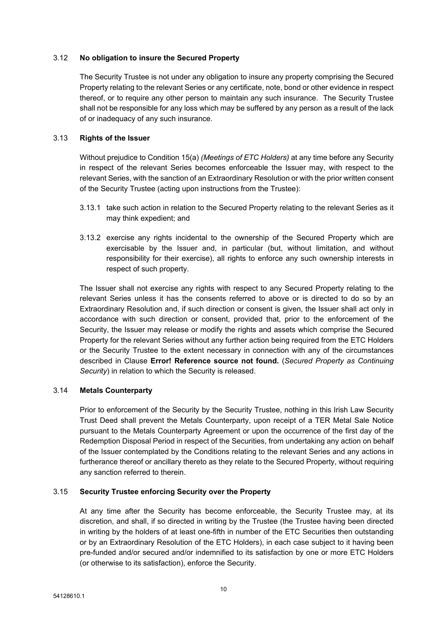#### 3.12 **No obligation to insure the Secured Property**

The Security Trustee is not under any obligation to insure any property comprising the Secured Property relating to the relevant Series or any certificate, note, bond or other evidence in respect thereof, or to require any other person to maintain any such insurance. The Security Trustee shall not be responsible for any loss which may be suffered by any person as a result of the lack of or inadequacy of any such insurance.

#### 3.13 **Rights of the Issuer**

Without prejudice to Condition 15(a) *(Meetings of ETC Holders)* at any time before any Security in respect of the relevant Series becomes enforceable the Issuer may, with respect to the relevant Series, with the sanction of an Extraordinary Resolution or with the prior written consent of the Security Trustee (acting upon instructions from the Trustee):

- 3.13.1 take such action in relation to the Secured Property relating to the relevant Series as it may think expedient; and
- 3.13.2 exercise any rights incidental to the ownership of the Secured Property which are exercisable by the Issuer and, in particular (but, without limitation, and without responsibility for their exercise), all rights to enforce any such ownership interests in respect of such property.

The Issuer shall not exercise any rights with respect to any Secured Property relating to the relevant Series unless it has the consents referred to above or is directed to do so by an Extraordinary Resolution and, if such direction or consent is given, the Issuer shall act only in accordance with such direction or consent, provided that, prior to the enforcement of the Security, the Issuer may release or modify the rights and assets which comprise the Secured Property for the relevant Series without any further action being required from the ETC Holders or the Security Trustee to the extent necessary in connection with any of the circumstances described in Clause **Error! Reference source not found.** (*Secured Property as Continuing Security*) in relation to which the Security is released.

### 3.14 **Metals Counterparty**

Prior to enforcement of the Security by the Security Trustee, nothing in this Irish Law Security Trust Deed shall prevent the Metals Counterparty, upon receipt of a TER Metal Sale Notice pursuant to the Metals Counterparty Agreement or upon the occurrence of the first day of the Redemption Disposal Period in respect of the Securities, from undertaking any action on behalf of the Issuer contemplated by the Conditions relating to the relevant Series and any actions in furtherance thereof or ancillary thereto as they relate to the Secured Property, without requiring any sanction referred to therein.

### <span id="page-10-0"></span>3.15 **Security Trustee enforcing Security over the Property**

At any time after the Security has become enforceable, the Security Trustee may, at its discretion, and shall, if so directed in writing by the Trustee (the Trustee having been directed in writing by the holders of at least one-fifth in number of the ETC Securities then outstanding or by an Extraordinary Resolution of the ETC Holders), in each case subject to it having been pre-funded and/or secured and/or indemnified to its satisfaction by one or more ETC Holders (or otherwise to its satisfaction), enforce the Security.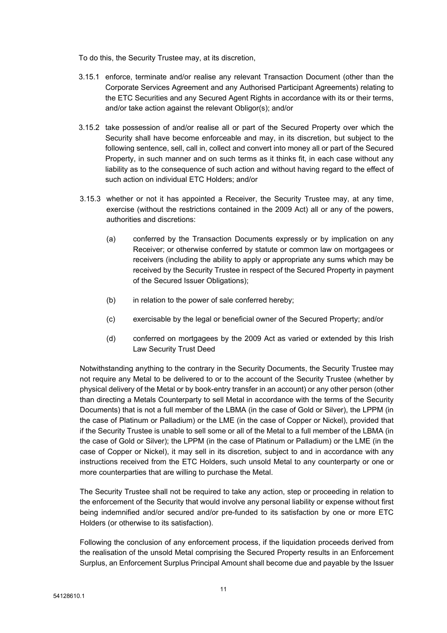To do this, the Security Trustee may, at its discretion,

- 3.15.1 enforce, terminate and/or realise any relevant Transaction Document (other than the Corporate Services Agreement and any Authorised Participant Agreements) relating to the ETC Securities and any Secured Agent Rights in accordance with its or their terms, and/or take action against the relevant Obligor(s); and/or
- 3.15.2 take possession of and/or realise all or part of the Secured Property over which the Security shall have become enforceable and may, in its discretion, but subject to the following sentence, sell, call in, collect and convert into money all or part of the Secured Property, in such manner and on such terms as it thinks fit, in each case without any liability as to the consequence of such action and without having regard to the effect of such action on individual ETC Holders; and/or
- 3.15.3 whether or not it has appointed a Receiver, the Security Trustee may, at any time, exercise (without the restrictions contained in the 2009 Act) all or any of the powers, authorities and discretions:
	- (a) conferred by the Transaction Documents expressly or by implication on any Receiver; or otherwise conferred by statute or common law on mortgagees or receivers (including the ability to apply or appropriate any sums which may be received by the Security Trustee in respect of the Secured Property in payment of the Secured Issuer Obligations);
	- (b) in relation to the power of sale conferred hereby;
	- (c) exercisable by the legal or beneficial owner of the Secured Property; and/or
	- (d) conferred on mortgagees by the 2009 Act as varied or extended by this Irish Law Security Trust Deed

Notwithstanding anything to the contrary in the Security Documents, the Security Trustee may not require any Metal to be delivered to or to the account of the Security Trustee (whether by physical delivery of the Metal or by book-entry transfer in an account) or any other person (other than directing a Metals Counterparty to sell Metal in accordance with the terms of the Security Documents) that is not a full member of the LBMA (in the case of Gold or Silver), the LPPM (in the case of Platinum or Palladium) or the LME (in the case of Copper or Nickel), provided that if the Security Trustee is unable to sell some or all of the Metal to a full member of the LBMA (in the case of Gold or Silver); the LPPM (in the case of Platinum or Palladium) or the LME (in the case of Copper or Nickel), it may sell in its discretion, subject to and in accordance with any instructions received from the ETC Holders, such unsold Metal to any counterparty or one or more counterparties that are willing to purchase the Metal.

The Security Trustee shall not be required to take any action, step or proceeding in relation to the enforcement of the Security that would involve any personal liability or expense without first being indemnified and/or secured and/or pre-funded to its satisfaction by one or more ETC Holders (or otherwise to its satisfaction).

Following the conclusion of any enforcement process, if the liquidation proceeds derived from the realisation of the unsold Metal comprising the Secured Property results in an Enforcement Surplus, an Enforcement Surplus Principal Amount shall become due and payable by the Issuer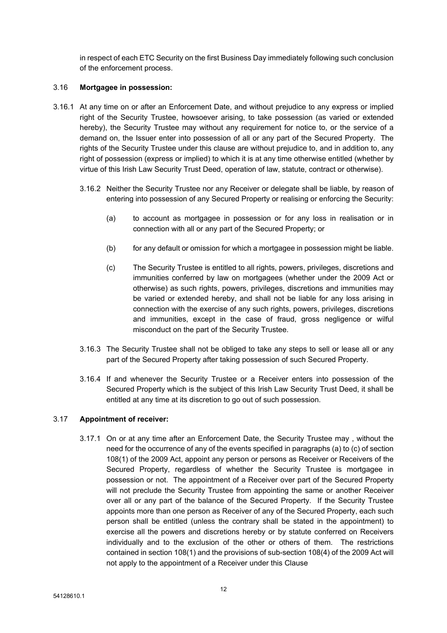in respect of each ETC Security on the first Business Day immediately following such conclusion of the enforcement process.

### 3.16 **Mortgagee in possession:**

- 3.16.1 At any time on or after an Enforcement Date, and without prejudice to any express or implied right of the Security Trustee, howsoever arising, to take possession (as varied or extended hereby), the Security Trustee may without any requirement for notice to, or the service of a demand on, the Issuer enter into possession of all or any part of the Secured Property. The rights of the Security Trustee under this clause are without prejudice to, and in addition to, any right of possession (express or implied) to which it is at any time otherwise entitled (whether by virtue of this Irish Law Security Trust Deed, operation of law, statute, contract or otherwise).
	- 3.16.2 Neither the Security Trustee nor any Receiver or delegate shall be liable, by reason of entering into possession of any Secured Property or realising or enforcing the Security:
		- (a) to account as mortgagee in possession or for any loss in realisation or in connection with all or any part of the Secured Property; or
		- (b) for any default or omission for which a mortgagee in possession might be liable.
		- (c) The Security Trustee is entitled to all rights, powers, privileges, discretions and immunities conferred by law on mortgagees (whether under the 2009 Act or otherwise) as such rights, powers, privileges, discretions and immunities may be varied or extended hereby, and shall not be liable for any loss arising in connection with the exercise of any such rights, powers, privileges, discretions and immunities, except in the case of fraud, gross negligence or wilful misconduct on the part of the Security Trustee.
	- 3.16.3 The Security Trustee shall not be obliged to take any steps to sell or lease all or any part of the Secured Property after taking possession of such Secured Property.
	- 3.16.4 If and whenever the Security Trustee or a Receiver enters into possession of the Secured Property which is the subject of this Irish Law Security Trust Deed, it shall be entitled at any time at its discretion to go out of such possession.

### <span id="page-12-0"></span>3.17 **Appointment of receiver:**

3.17.1 On or at any time after an Enforcement Date, the Security Trustee may , without the need for the occurrence of any of the events specified in paragraphs (a) to (c) of section 108(1) of the 2009 Act, appoint any person or persons as Receiver or Receivers of the Secured Property, regardless of whether the Security Trustee is mortgagee in possession or not. The appointment of a Receiver over part of the Secured Property will not preclude the Security Trustee from appointing the same or another Receiver over all or any part of the balance of the Secured Property. If the Security Trustee appoints more than one person as Receiver of any of the Secured Property, each such person shall be entitled (unless the contrary shall be stated in the appointment) to exercise all the powers and discretions hereby or by statute conferred on Receivers individually and to the exclusion of the other or others of them. The restrictions contained in section 108(1) and the provisions of sub-section 108(4) of the 2009 Act will not apply to the appointment of a Receiver under this Clause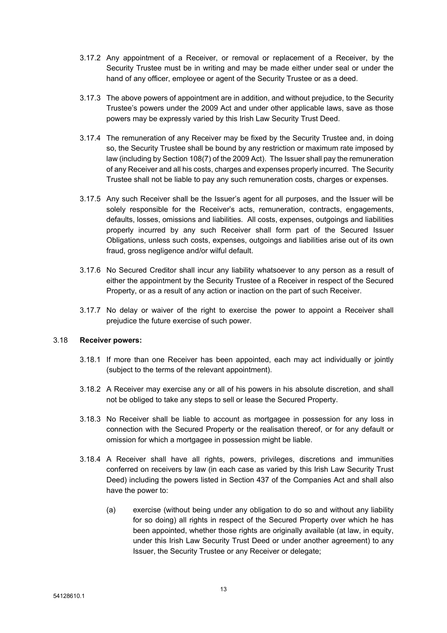- 3.17.2 Any appointment of a Receiver, or removal or replacement of a Receiver, by the Security Trustee must be in writing and may be made either under seal or under the hand of any officer, employee or agent of the Security Trustee or as a deed.
- 3.17.3 The above powers of appointment are in addition, and without prejudice, to the Security Trustee's powers under the 2009 Act and under other applicable laws, save as those powers may be expressly varied by this Irish Law Security Trust Deed.
- 3.17.4 The remuneration of any Receiver may be fixed by the Security Trustee and, in doing so, the Security Trustee shall be bound by any restriction or maximum rate imposed by law (including by Section 108(7) of the 2009 Act). The Issuer shall pay the remuneration of any Receiver and all his costs, charges and expenses properly incurred. The Security Trustee shall not be liable to pay any such remuneration costs, charges or expenses.
- 3.17.5 Any such Receiver shall be the Issuer's agent for all purposes, and the Issuer will be solely responsible for the Receiver's acts, remuneration, contracts, engagements, defaults, losses, omissions and liabilities. All costs, expenses, outgoings and liabilities properly incurred by any such Receiver shall form part of the Secured Issuer Obligations, unless such costs, expenses, outgoings and liabilities arise out of its own fraud, gross negligence and/or wilful default.
- 3.17.6 No Secured Creditor shall incur any liability whatsoever to any person as a result of either the appointment by the Security Trustee of a Receiver in respect of the Secured Property, or as a result of any action or inaction on the part of such Receiver.
- 3.17.7 No delay or waiver of the right to exercise the power to appoint a Receiver shall prejudice the future exercise of such power.

### <span id="page-13-0"></span>3.18 **Receiver powers:**

- 3.18.1 If more than one Receiver has been appointed, each may act individually or jointly (subject to the terms of the relevant appointment).
- 3.18.2 A Receiver may exercise any or all of his powers in his absolute discretion, and shall not be obliged to take any steps to sell or lease the Secured Property.
- 3.18.3 No Receiver shall be liable to account as mortgagee in possession for any loss in connection with the Secured Property or the realisation thereof, or for any default or omission for which a mortgagee in possession might be liable.
- 3.18.4 A Receiver shall have all rights, powers, privileges, discretions and immunities conferred on receivers by law (in each case as varied by this Irish Law Security Trust Deed) including the powers listed in Section 437 of the Companies Act and shall also have the power to:
	- (a) exercise (without being under any obligation to do so and without any liability for so doing) all rights in respect of the Secured Property over which he has been appointed, whether those rights are originally available (at law, in equity, under this Irish Law Security Trust Deed or under another agreement) to any Issuer, the Security Trustee or any Receiver or delegate;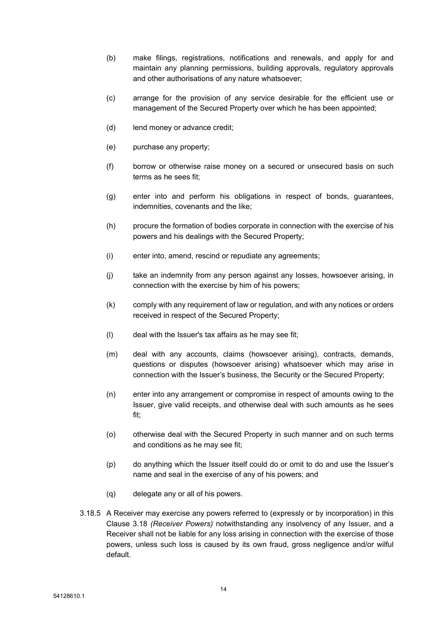- (b) make filings, registrations, notifications and renewals, and apply for and maintain any planning permissions, building approvals, regulatory approvals and other authorisations of any nature whatsoever;
- (c) arrange for the provision of any service desirable for the efficient use or management of the Secured Property over which he has been appointed;
- (d) lend money or advance credit;
- (e) purchase any property;
- (f) borrow or otherwise raise money on a secured or unsecured basis on such terms as he sees fit;
- (g) enter into and perform his obligations in respect of bonds, guarantees, indemnities, covenants and the like;
- (h) procure the formation of bodies corporate in connection with the exercise of his powers and his dealings with the Secured Property;
- (i) enter into, amend, rescind or repudiate any agreements;
- (j) take an indemnity from any person against any losses, howsoever arising, in connection with the exercise by him of his powers;
- (k) comply with any requirement of law or regulation, and with any notices or orders received in respect of the Secured Property;
- (l) deal with the Issuer's tax affairs as he may see fit;
- (m) deal with any accounts, claims (howsoever arising), contracts, demands, questions or disputes (howsoever arising) whatsoever which may arise in connection with the Issuer's business, the Security or the Secured Property;
- (n) enter into any arrangement or compromise in respect of amounts owing to the Issuer, give valid receipts, and otherwise deal with such amounts as he sees fit;
- (o) otherwise deal with the Secured Property in such manner and on such terms and conditions as he may see fit;
- (p) do anything which the Issuer itself could do or omit to do and use the Issuer's name and seal in the exercise of any of his powers; and
- (q) delegate any or all of his powers.
- 3.18.5 A Receiver may exercise any powers referred to (expressly or by incorporation) in this Clause [3.18](#page-13-0) *(Receiver Powers)* notwithstanding any insolvency of any Issuer, and a Receiver shall not be liable for any loss arising in connection with the exercise of those powers, unless such loss is caused by its own fraud, gross negligence and/or wilful default.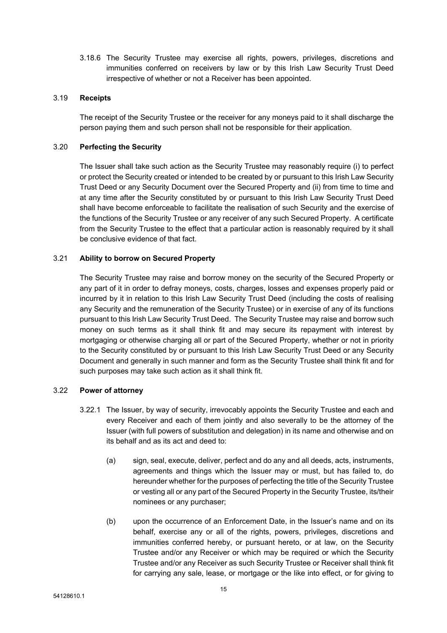3.18.6 The Security Trustee may exercise all rights, powers, privileges, discretions and immunities conferred on receivers by law or by this Irish Law Security Trust Deed irrespective of whether or not a Receiver has been appointed.

### 3.19 **Receipts**

The receipt of the Security Trustee or the receiver for any moneys paid to it shall discharge the person paying them and such person shall not be responsible for their application.

#### 3.20 **Perfecting the Security**

The Issuer shall take such action as the Security Trustee may reasonably require (i) to perfect or protect the Security created or intended to be created by or pursuant to this Irish Law Security Trust Deed or any Security Document over the Secured Property and (ii) from time to time and at any time after the Security constituted by or pursuant to this Irish Law Security Trust Deed shall have become enforceable to facilitate the realisation of such Security and the exercise of the functions of the Security Trustee or any receiver of any such Secured Property. A certificate from the Security Trustee to the effect that a particular action is reasonably required by it shall be conclusive evidence of that fact.

### 3.21 **Ability to borrow on Secured Property**

The Security Trustee may raise and borrow money on the security of the Secured Property or any part of it in order to defray moneys, costs, charges, losses and expenses properly paid or incurred by it in relation to this Irish Law Security Trust Deed (including the costs of realising any Security and the remuneration of the Security Trustee) or in exercise of any of its functions pursuant to this Irish Law Security Trust Deed. The Security Trustee may raise and borrow such money on such terms as it shall think fit and may secure its repayment with interest by mortgaging or otherwise charging all or part of the Secured Property, whether or not in priority to the Security constituted by or pursuant to this Irish Law Security Trust Deed or any Security Document and generally in such manner and form as the Security Trustee shall think fit and for such purposes may take such action as it shall think fit.

### <span id="page-15-1"></span>3.22 **Power of attorney**

- <span id="page-15-0"></span>3.22.1 The Issuer, by way of security, irrevocably appoints the Security Trustee and each and every Receiver and each of them jointly and also severally to be the attorney of the Issuer (with full powers of substitution and delegation) in its name and otherwise and on its behalf and as its act and deed to:
	- (a) sign, seal, execute, deliver, perfect and do any and all deeds, acts, instruments, agreements and things which the Issuer may or must, but has failed to, do hereunder whether for the purposes of perfecting the title of the Security Trustee or vesting all or any part of the Secured Property in the Security Trustee, its/their nominees or any purchaser;
	- (b) upon the occurrence of an Enforcement Date, in the Issuer's name and on its behalf, exercise any or all of the rights, powers, privileges, discretions and immunities conferred hereby, or pursuant hereto, or at law, on the Security Trustee and/or any Receiver or which may be required or which the Security Trustee and/or any Receiver as such Security Trustee or Receiver shall think fit for carrying any sale, lease, or mortgage or the like into effect, or for giving to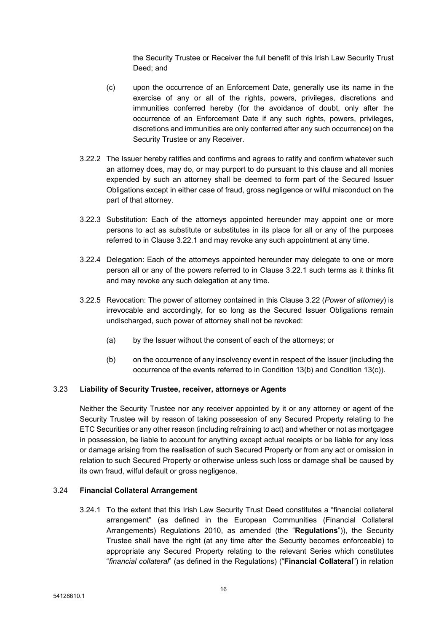the Security Trustee or Receiver the full benefit of this Irish Law Security Trust Deed; and

- (c) upon the occurrence of an Enforcement Date, generally use its name in the exercise of any or all of the rights, powers, privileges, discretions and immunities conferred hereby (for the avoidance of doubt, only after the occurrence of an Enforcement Date if any such rights, powers, privileges, discretions and immunities are only conferred after any such occurrence) on the Security Trustee or any Receiver.
- 3.22.2 The Issuer hereby ratifies and confirms and agrees to ratify and confirm whatever such an attorney does, may do, or may purport to do pursuant to this clause and all monies expended by such an attorney shall be deemed to form part of the Secured Issuer Obligations except in either case of fraud, gross negligence or wilful misconduct on the part of that attorney.
- 3.22.3 Substitution: Each of the attorneys appointed hereunder may appoint one or more persons to act as substitute or substitutes in its place for all or any of the purposes referred to in Clause [3.22.1](#page-15-0) and may revoke any such appointment at any time.
- 3.22.4 Delegation: Each of the attorneys appointed hereunder may delegate to one or more person all or any of the powers referred to in Clause [3.22.1](#page-15-0) such terms as it thinks fit and may revoke any such delegation at any time.
- 3.22.5 Revocation: The power of attorney contained in this Clause [3.22](#page-15-1) (*Power of [attorney](#page-15-1)*) is irrevocable and accordingly, for so long as the Secured Issuer Obligations remain undischarged, such power of attorney shall not be revoked:
	- (a) by the Issuer without the consent of each of the attorneys; or
	- (b) on the occurrence of any insolvency event in respect of the Issuer (including the occurrence of the events referred to in Condition 13(b) and Condition 13(c)).

### 3.23 **Liability of Security Trustee, receiver, attorneys or Agents**

Neither the Security Trustee nor any receiver appointed by it or any attorney or agent of the Security Trustee will by reason of taking possession of any Secured Property relating to the ETC Securities or any other reason (including refraining to act) and whether or not as mortgagee in possession, be liable to account for anything except actual receipts or be liable for any loss or damage arising from the realisation of such Secured Property or from any act or omission in relation to such Secured Property or otherwise unless such loss or damage shall be caused by its own fraud, wilful default or gross negligence.

#### 3.24 **Financial Collateral Arrangement**

<span id="page-16-0"></span>3.24.1 To the extent that this Irish Law Security Trust Deed constitutes a "financial collateral arrangement" (as defined in the European Communities (Financial Collateral Arrangements) Regulations 2010, as amended (the "**Regulations**")), the Security Trustee shall have the right (at any time after the Security becomes enforceable) to appropriate any Secured Property relating to the relevant Series which constitutes "*financial collateral*" (as defined in the Regulations) ("**Financial Collateral**") in relation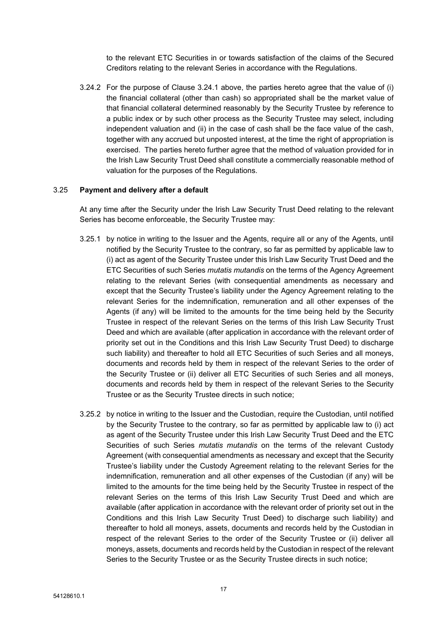to the relevant ETC Securities in or towards satisfaction of the claims of the Secured Creditors relating to the relevant Series in accordance with the Regulations.

3.24.2 For the purpose of Clause [3.24.1](#page-16-0) above, the parties hereto agree that the value of (i) the financial collateral (other than cash) so appropriated shall be the market value of that financial collateral determined reasonably by the Security Trustee by reference to a public index or by such other process as the Security Trustee may select, including independent valuation and (ii) in the case of cash shall be the face value of the cash, together with any accrued but unposted interest, at the time the right of appropriation is exercised. The parties hereto further agree that the method of valuation provided for in the Irish Law Security Trust Deed shall constitute a commercially reasonable method of valuation for the purposes of the Regulations.

#### 3.25 **Payment and delivery after a default**

At any time after the Security under the Irish Law Security Trust Deed relating to the relevant Series has become enforceable, the Security Trustee may:

- 3.25.1 by notice in writing to the Issuer and the Agents, require all or any of the Agents, until notified by the Security Trustee to the contrary, so far as permitted by applicable law to (i) act as agent of the Security Trustee under this Irish Law Security Trust Deed and the ETC Securities of such Series *mutatis mutandis* on the terms of the Agency Agreement relating to the relevant Series (with consequential amendments as necessary and except that the Security Trustee's liability under the Agency Agreement relating to the relevant Series for the indemnification, remuneration and all other expenses of the Agents (if any) will be limited to the amounts for the time being held by the Security Trustee in respect of the relevant Series on the terms of this Irish Law Security Trust Deed and which are available (after application in accordance with the relevant order of priority set out in the Conditions and this Irish Law Security Trust Deed) to discharge such liability) and thereafter to hold all ETC Securities of such Series and all moneys, documents and records held by them in respect of the relevant Series to the order of the Security Trustee or (ii) deliver all ETC Securities of such Series and all moneys, documents and records held by them in respect of the relevant Series to the Security Trustee or as the Security Trustee directs in such notice;
- 3.25.2 by notice in writing to the Issuer and the Custodian, require the Custodian, until notified by the Security Trustee to the contrary, so far as permitted by applicable law to (i) act as agent of the Security Trustee under this Irish Law Security Trust Deed and the ETC Securities of such Series *mutatis mutandis* on the terms of the relevant Custody Agreement (with consequential amendments as necessary and except that the Security Trustee's liability under the Custody Agreement relating to the relevant Series for the indemnification, remuneration and all other expenses of the Custodian (if any) will be limited to the amounts for the time being held by the Security Trustee in respect of the relevant Series on the terms of this Irish Law Security Trust Deed and which are available (after application in accordance with the relevant order of priority set out in the Conditions and this Irish Law Security Trust Deed) to discharge such liability) and thereafter to hold all moneys, assets, documents and records held by the Custodian in respect of the relevant Series to the order of the Security Trustee or (ii) deliver all moneys, assets, documents and records held by the Custodian in respect of the relevant Series to the Security Trustee or as the Security Trustee directs in such notice;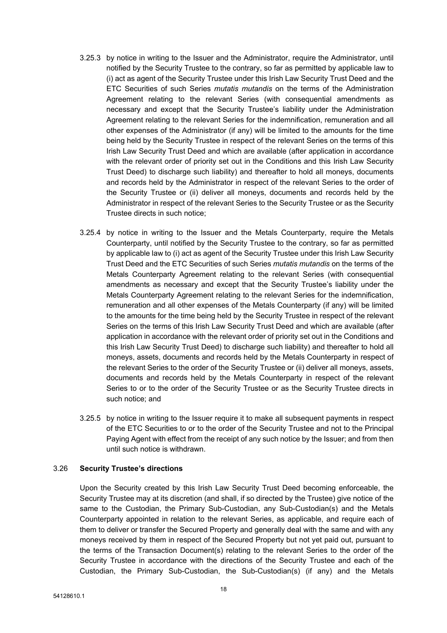- 3.25.3 by notice in writing to the Issuer and the Administrator, require the Administrator, until notified by the Security Trustee to the contrary, so far as permitted by applicable law to (i) act as agent of the Security Trustee under this Irish Law Security Trust Deed and the ETC Securities of such Series *mutatis mutandis* on the terms of the Administration Agreement relating to the relevant Series (with consequential amendments as necessary and except that the Security Trustee's liability under the Administration Agreement relating to the relevant Series for the indemnification, remuneration and all other expenses of the Administrator (if any) will be limited to the amounts for the time being held by the Security Trustee in respect of the relevant Series on the terms of this Irish Law Security Trust Deed and which are available (after application in accordance with the relevant order of priority set out in the Conditions and this Irish Law Security Trust Deed) to discharge such liability) and thereafter to hold all moneys, documents and records held by the Administrator in respect of the relevant Series to the order of the Security Trustee or (ii) deliver all moneys, documents and records held by the Administrator in respect of the relevant Series to the Security Trustee or as the Security Trustee directs in such notice;
- 3.25.4 by notice in writing to the Issuer and the Metals Counterparty, require the Metals Counterparty, until notified by the Security Trustee to the contrary, so far as permitted by applicable law to (i) act as agent of the Security Trustee under this Irish Law Security Trust Deed and the ETC Securities of such Series *mutatis mutandis* on the terms of the Metals Counterparty Agreement relating to the relevant Series (with consequential amendments as necessary and except that the Security Trustee's liability under the Metals Counterparty Agreement relating to the relevant Series for the indemnification, remuneration and all other expenses of the Metals Counterparty (if any) will be limited to the amounts for the time being held by the Security Trustee in respect of the relevant Series on the terms of this Irish Law Security Trust Deed and which are available (after application in accordance with the relevant order of priority set out in the Conditions and this Irish Law Security Trust Deed) to discharge such liability) and thereafter to hold all moneys, assets, documents and records held by the Metals Counterparty in respect of the relevant Series to the order of the Security Trustee or (ii) deliver all moneys, assets, documents and records held by the Metals Counterparty in respect of the relevant Series to or to the order of the Security Trustee or as the Security Trustee directs in such notice; and
- 3.25.5 by notice in writing to the Issuer require it to make all subsequent payments in respect of the ETC Securities to or to the order of the Security Trustee and not to the Principal Paying Agent with effect from the receipt of any such notice by the Issuer; and from then until such notice is withdrawn.

#### 3.26 **Security Trustee's directions**

Upon the Security created by this Irish Law Security Trust Deed becoming enforceable, the Security Trustee may at its discretion (and shall, if so directed by the Trustee) give notice of the same to the Custodian, the Primary Sub-Custodian, any Sub-Custodian(s) and the Metals Counterparty appointed in relation to the relevant Series, as applicable, and require each of them to deliver or transfer the Secured Property and generally deal with the same and with any moneys received by them in respect of the Secured Property but not yet paid out, pursuant to the terms of the Transaction Document(s) relating to the relevant Series to the order of the Security Trustee in accordance with the directions of the Security Trustee and each of the Custodian, the Primary Sub-Custodian, the Sub-Custodian(s) (if any) and the Metals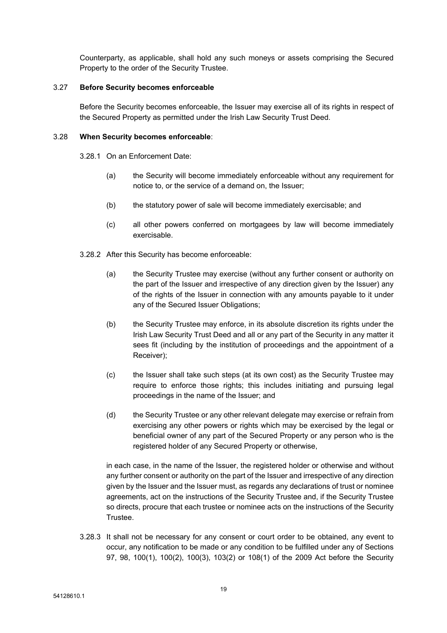Counterparty, as applicable, shall hold any such moneys or assets comprising the Secured Property to the order of the Security Trustee.

#### 3.27 **Before Security becomes enforceable**

Before the Security becomes enforceable, the Issuer may exercise all of its rights in respect of the Secured Property as permitted under the Irish Law Security Trust Deed.

#### 3.28 **When Security becomes enforceable**:

3.28.1 On an Enforcement Date:

- (a) the Security will become immediately enforceable without any requirement for notice to, or the service of a demand on, the Issuer;
- (b) the statutory power of sale will become immediately exercisable; and
- (c) all other powers conferred on mortgagees by law will become immediately exercisable.
- 3.28.2 After this Security has become enforceable:
	- (a) the Security Trustee may exercise (without any further consent or authority on the part of the Issuer and irrespective of any direction given by the Issuer) any of the rights of the Issuer in connection with any amounts payable to it under any of the Secured Issuer Obligations;
	- (b) the Security Trustee may enforce, in its absolute discretion its rights under the Irish Law Security Trust Deed and all or any part of the Security in any matter it sees fit (including by the institution of proceedings and the appointment of a Receiver);
	- (c) the Issuer shall take such steps (at its own cost) as the Security Trustee may require to enforce those rights; this includes initiating and pursuing legal proceedings in the name of the Issuer; and
	- (d) the Security Trustee or any other relevant delegate may exercise or refrain from exercising any other powers or rights which may be exercised by the legal or beneficial owner of any part of the Secured Property or any person who is the registered holder of any Secured Property or otherwise,

in each case, in the name of the Issuer, the registered holder or otherwise and without any further consent or authority on the part of the Issuer and irrespective of any direction given by the Issuer and the Issuer must, as regards any declarations of trust or nominee agreements, act on the instructions of the Security Trustee and, if the Security Trustee so directs, procure that each trustee or nominee acts on the instructions of the Security Trustee.

3.28.3 It shall not be necessary for any consent or court order to be obtained, any event to occur, any notification to be made or any condition to be fulfilled under any of Sections 97, 98, 100(1), 100(2), 100(3), 103(2) or 108(1) of the 2009 Act before the Security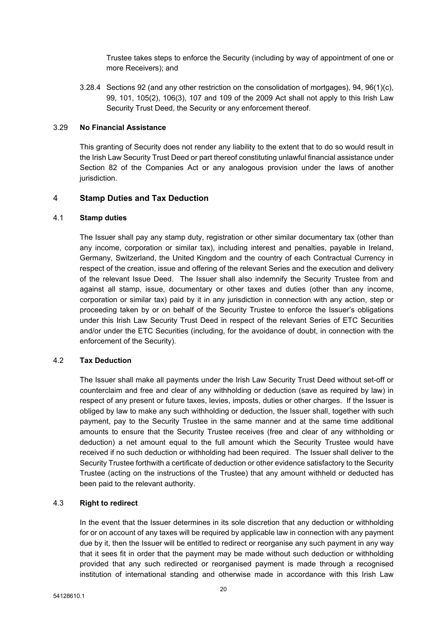Trustee takes steps to enforce the Security (including by way of appointment of one or more Receivers); and

3.28.4 Sections 92 (and any other restriction on the consolidation of mortgages), 94, 96(1)(c), 99, 101, 105(2), 106(3), 107 and 109 of the 2009 Act shall not apply to this Irish Law Security Trust Deed, the Security or any enforcement thereof.

#### 3.29 **No Financial Assistance**

This granting of Security does not render any liability to the extent that to do so would result in the Irish Law Security Trust Deed or part thereof constituting unlawful financial assistance under Section 82 of the Companies Act or any analogous provision under the laws of another jurisdiction.

### <span id="page-20-0"></span>4 **Stamp Duties and Tax Deduction**

#### 4.1 **Stamp duties**

The Issuer shall pay any stamp duty, registration or other similar documentary tax (other than any income, corporation or similar tax), including interest and penalties, payable in Ireland, Germany, Switzerland, the United Kingdom and the country of each Contractual Currency in respect of the creation, issue and offering of the relevant Series and the execution and delivery of the relevant Issue Deed. The Issuer shall also indemnify the Security Trustee from and against all stamp, issue, documentary or other taxes and duties (other than any income, corporation or similar tax) paid by it in any jurisdiction in connection with any action, step or proceeding taken by or on behalf of the Security Trustee to enforce the Issuer's obligations under this Irish Law Security Trust Deed in respect of the relevant Series of ETC Securities and/or under the ETC Securities (including, for the avoidance of doubt, in connection with the enforcement of the Security).

### 4.2 **Tax Deduction**

The Issuer shall make all payments under the Irish Law Security Trust Deed without set-off or counterclaim and free and clear of any withholding or deduction (save as required by law) in respect of any present or future taxes, levies, imposts, duties or other charges. If the Issuer is obliged by law to make any such withholding or deduction, the Issuer shall, together with such payment, pay to the Security Trustee in the same manner and at the same time additional amounts to ensure that the Security Trustee receives (free and clear of any withholding or deduction) a net amount equal to the full amount which the Security Trustee would have received if no such deduction or withholding had been required. The Issuer shall deliver to the Security Trustee forthwith a certificate of deduction or other evidence satisfactory to the Security Trustee (acting on the instructions of the Trustee) that any amount withheld or deducted has been paid to the relevant authority.

### 4.3 **Right to redirect**

In the event that the Issuer determines in its sole discretion that any deduction or withholding for or on account of any taxes will be required by applicable law in connection with any payment due by it, then the Issuer will be entitled to redirect or reorganise any such payment in any way that it sees fit in order that the payment may be made without such deduction or withholding provided that any such redirected or reorganised payment is made through a recognised institution of international standing and otherwise made in accordance with this Irish Law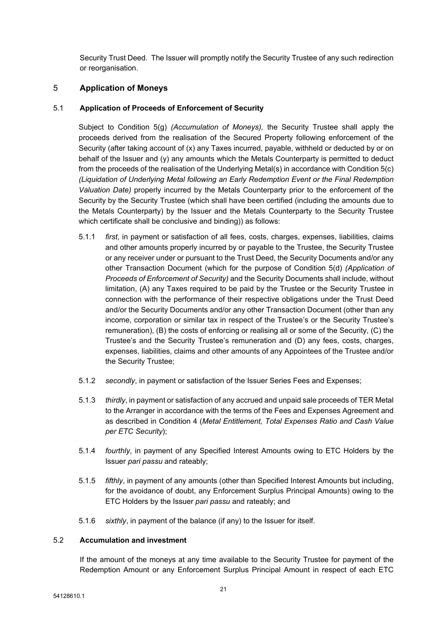Security Trust Deed. The Issuer will promptly notify the Security Trustee of any such redirection or reorganisation.

## <span id="page-21-0"></span>5 **Application of Moneys**

### <span id="page-21-1"></span>5.1 **Application of Proceeds of Enforcement of Security**

Subject to Condition 5(g) *(Accumulation of Moneys),* the Security Trustee shall apply the proceeds derived from the realisation of the Secured Property following enforcement of the Security (after taking account of (x) any Taxes incurred, payable, withheld or deducted by or on behalf of the Issuer and (y) any amounts which the Metals Counterparty is permitted to deduct from the proceeds of the realisation of the Underlying Metal(s) in accordance with Condition 5(c) *(Liquidation of Underlying Metal following an Early Redemption Event or the Final Redemption Valuation Date)* properly incurred by the Metals Counterparty prior to the enforcement of the Security by the Security Trustee (which shall have been certified (including the amounts due to the Metals Counterparty) by the Issuer and the Metals Counterparty to the Security Trustee which certificate shall be conclusive and binding)) as follows:

- 5.1.1 *first*, in payment or satisfaction of all fees, costs, charges, expenses, liabilities, claims and other amounts properly incurred by or payable to the Trustee, the Security Trustee or any receiver under or pursuant to the Trust Deed, the Security Documents and/or any other Transaction Document (which for the purpose of Condition 5(d) *(Application of Proceeds of Enforcement of Security)* and the Security Documents shall include, without limitation, (A) any Taxes required to be paid by the Trustee or the Security Trustee in connection with the performance of their respective obligations under the Trust Deed and/or the Security Documents and/or any other Transaction Document (other than any income, corporation or similar tax in respect of the Trustee's or the Security Trustee's remuneration), (B) the costs of enforcing or realising all or some of the Security, (C) the Trustee's and the Security Trustee's remuneration and (D) any fees, costs, charges, expenses, liabilities, claims and other amounts of any Appointees of the Trustee and/or the Security Trustee;
- 5.1.2 *secondly*, in payment or satisfaction of the Issuer Series Fees and Expenses;
- 5.1.3 *thirdly*, in payment or satisfaction of any accrued and unpaid sale proceeds of TER Metal to the Arranger in accordance with the terms of the Fees and Expenses Agreement and as described in Condition 4 (*Metal Entitlement, Total Expenses Ratio and Cash Value per ETC Security*);
- 5.1.4 *fourthly*, in payment of any Specified Interest Amounts owing to ETC Holders by the Issuer *pari passu* and rateably;
- 5.1.5 *fifthly*, in payment of any amounts (other than Specified Interest Amounts but including, for the avoidance of doubt, any Enforcement Surplus Principal Amounts) owing to the ETC Holders by the Issuer *pari passu* and rateably; and
- 5.1.6 *sixthly*, in payment of the balance (if any) to the Issuer for itself.

## 5.2 **Accumulation and investment**

If the amount of the moneys at any time available to the Security Trustee for payment of the Redemption Amount or any Enforcement Surplus Principal Amount in respect of each ETC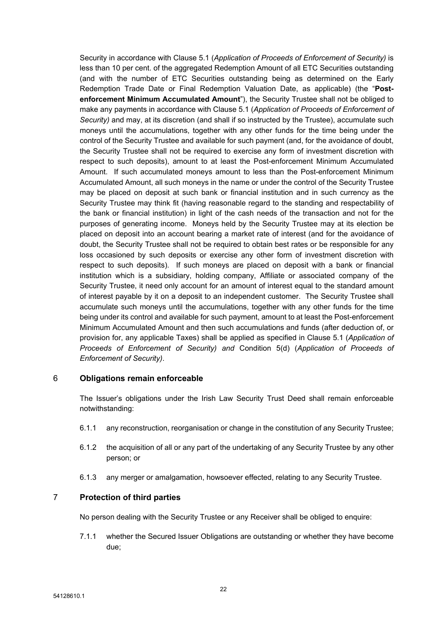Security in accordance with Clause [5.1](#page-21-1) (*Application of Proceeds of [Enforcement](#page-21-1) of Security)* is less than 10 per cent. of the aggregated Redemption Amount of all ETC Securities outstanding (and with the number of ETC Securities outstanding being as determined on the Early Redemption Trade Date or Final Redemption Valuation Date, as applicable) (the "**Postenforcement Minimum Accumulated Amount**"), the Security Trustee shall not be obliged to make any payments in accordance with Clause [5.1](#page-21-1) (*Application of Proceeds of [Enforcement](#page-21-1) of [Security](#page-21-1))* and may, at its discretion (and shall if so instructed by the Trustee), accumulate such moneys until the accumulations, together with any other funds for the time being under the control of the Security Trustee and available for such payment (and, for the avoidance of doubt, the Security Trustee shall not be required to exercise any form of investment discretion with respect to such deposits), amount to at least the Post-enforcement Minimum Accumulated Amount. If such accumulated moneys amount to less than the Post-enforcement Minimum Accumulated Amount, all such moneys in the name or under the control of the Security Trustee may be placed on deposit at such bank or financial institution and in such currency as the Security Trustee may think fit (having reasonable regard to the standing and respectability of the bank or financial institution) in light of the cash needs of the transaction and not for the purposes of generating income. Moneys held by the Security Trustee may at its election be placed on deposit into an account bearing a market rate of interest (and for the avoidance of doubt, the Security Trustee shall not be required to obtain best rates or be responsible for any loss occasioned by such deposits or exercise any other form of investment discretion with respect to such deposits). If such moneys are placed on deposit with a bank or financial institution which is a subsidiary, holding company, Affiliate or associated company of the Security Trustee, it need only account for an amount of interest equal to the standard amount of interest payable by it on a deposit to an independent customer. The Security Trustee shall accumulate such moneys until the accumulations, together with any other funds for the time being under its control and available for such payment, amount to at least the Post-enforcement Minimum Accumulated Amount and then such accumulations and funds (after deduction of, or provision for, any applicable Taxes) shall be applied as specified in Clause [5.1](#page-21-1) (*[Application](#page-21-1) of Proceeds of [Enforcement](#page-21-1) of Security) and* Condition 5(d) (*Application of Proceeds of Enforcement of Security)*.

### <span id="page-22-0"></span>6 **Obligations remain enforceable**

The Issuer's obligations under the Irish Law Security Trust Deed shall remain enforceable notwithstanding:

- 6.1.1 any reconstruction, reorganisation or change in the constitution of any Security Trustee;
- 6.1.2 the acquisition of all or any part of the undertaking of any Security Trustee by any other person; or
- 6.1.3 any merger or amalgamation, howsoever effected, relating to any Security Trustee.

### <span id="page-22-1"></span>7 **Protection of third parties**

No person dealing with the Security Trustee or any Receiver shall be obliged to enquire:

7.1.1 whether the Secured Issuer Obligations are outstanding or whether they have become due;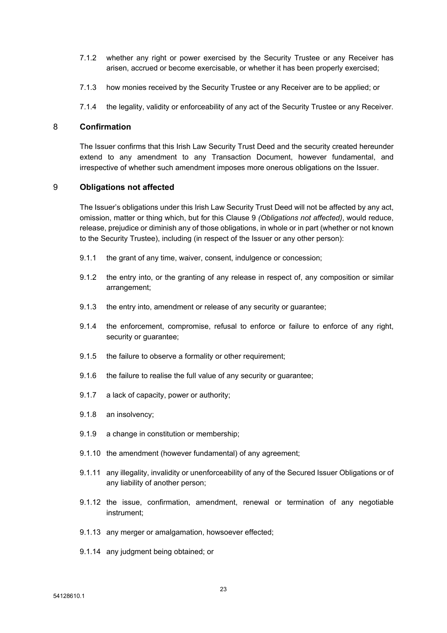- 7.1.2 whether any right or power exercised by the Security Trustee or any Receiver has arisen, accrued or become exercisable, or whether it has been properly exercised;
- 7.1.3 how monies received by the Security Trustee or any Receiver are to be applied; or
- 7.1.4 the legality, validity or enforceability of any act of the Security Trustee or any Receiver.

#### <span id="page-23-0"></span>8 **Confirmation**

The Issuer confirms that this Irish Law Security Trust Deed and the security created hereunder extend to any amendment to any Transaction Document, however fundamental, and irrespective of whether such amendment imposes more onerous obligations on the Issuer.

## <span id="page-23-1"></span>9 **Obligations not affected**

The Issuer's obligations under this Irish Law Security Trust Deed will not be affected by any act, omission, matter or thing which, but for this Clause [9](#page-23-1) *(Obligations not affected)*, would reduce, release, prejudice or diminish any of those obligations, in whole or in part (whether or not known to the Security Trustee), including (in respect of the Issuer or any other person):

- 9.1.1 the grant of any time, waiver, consent, indulgence or concession;
- 9.1.2 the entry into, or the granting of any release in respect of, any composition or similar arrangement;
- 9.1.3 the entry into, amendment or release of any security or guarantee;
- 9.1.4 the enforcement, compromise, refusal to enforce or failure to enforce of any right, security or guarantee;
- 9.1.5 the failure to observe a formality or other requirement;
- 9.1.6 the failure to realise the full value of any security or guarantee;
- 9.1.7 a lack of capacity, power or authority;
- 9.1.8 an insolvency;
- 9.1.9 a change in constitution or membership;
- 9.1.10 the amendment (however fundamental) of any agreement;
- 9.1.11 any illegality, invalidity or unenforceability of any of the Secured Issuer Obligations or of any liability of another person;
- 9.1.12 the issue, confirmation, amendment, renewal or termination of any negotiable instrument;
- 9.1.13 any merger or amalgamation, howsoever effected;
- 9.1.14 any judgment being obtained; or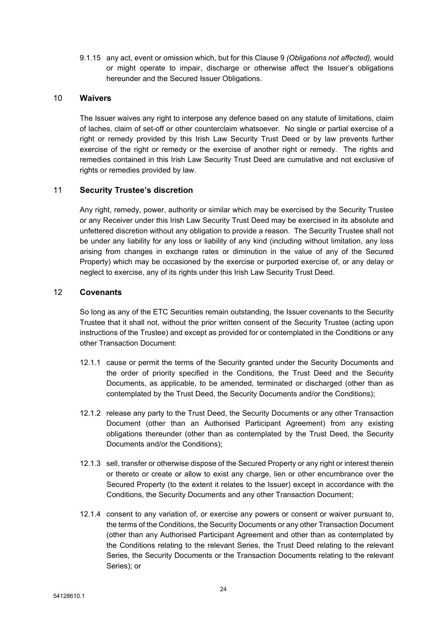9.1.15 any act, event or omission which, but for this Clause [9](#page-23-1) *(Obligations not affected),* would or might operate to impair, discharge or otherwise affect the Issuer's obligations hereunder and the Secured Issuer Obligations.

## <span id="page-24-0"></span>10 **Waivers**

The Issuer waives any right to interpose any defence based on any statute of limitations, claim of laches, claim of set-off or other counterclaim whatsoever. No single or partial exercise of a right or remedy provided by this Irish Law Security Trust Deed or by law prevents further exercise of the right or remedy or the exercise of another right or remedy. The rights and remedies contained in this Irish Law Security Trust Deed are cumulative and not exclusive of rights or remedies provided by law.

### <span id="page-24-1"></span>11 **Security Trustee's discretion**

Any right, remedy, power, authority or similar which may be exercised by the Security Trustee or any Receiver under this Irish Law Security Trust Deed may be exercised in its absolute and unfettered discretion without any obligation to provide a reason. The Security Trustee shall not be under any liability for any loss or liability of any kind (including without limitation, any loss arising from changes in exchange rates or diminution in the value of any of the Secured Property) which may be occasioned by the exercise or purported exercise of, or any delay or neglect to exercise, any of its rights under this Irish Law Security Trust Deed.

## <span id="page-24-2"></span>12 **Covenants**

So long as any of the ETC Securities remain outstanding, the Issuer covenants to the Security Trustee that it shall not, without the prior written consent of the Security Trustee (acting upon instructions of the Trustee) and except as provided for or contemplated in the Conditions or any other Transaction Document:

- 12.1.1 cause or permit the terms of the Security granted under the Security Documents and the order of priority specified in the Conditions, the Trust Deed and the Security Documents, as applicable, to be amended, terminated or discharged (other than as contemplated by the Trust Deed, the Security Documents and/or the Conditions);
- 12.1.2 release any party to the Trust Deed, the Security Documents or any other Transaction Document (other than an Authorised Participant Agreement) from any existing obligations thereunder (other than as contemplated by the Trust Deed, the Security Documents and/or the Conditions);
- 12.1.3 sell, transfer or otherwise dispose of the Secured Property or any right or interest therein or thereto or create or allow to exist any charge, lien or other encumbrance over the Secured Property (to the extent it relates to the Issuer) except in accordance with the Conditions, the Security Documents and any other Transaction Document;
- 12.1.4 consent to any variation of, or exercise any powers or consent or waiver pursuant to, the terms of the Conditions, the Security Documents or any other Transaction Document (other than any Authorised Participant Agreement and other than as contemplated by the Conditions relating to the relevant Series, the Trust Deed relating to the relevant Series, the Security Documents or the Transaction Documents relating to the relevant Series); or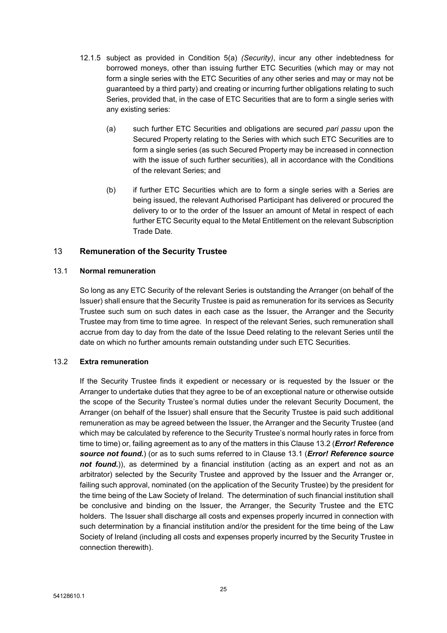- 12.1.5 subject as provided in Condition 5(a) *(Security)*, incur any other indebtedness for borrowed moneys, other than issuing further ETC Securities (which may or may not form a single series with the ETC Securities of any other series and may or may not be guaranteed by a third party) and creating or incurring further obligations relating to such Series, provided that, in the case of ETC Securities that are to form a single series with any existing series:
	- (a) such further ETC Securities and obligations are secured *pari passu* upon the Secured Property relating to the Series with which such ETC Securities are to form a single series (as such Secured Property may be increased in connection with the issue of such further securities), all in accordance with the Conditions of the relevant Series; and
	- (b) if further ETC Securities which are to form a single series with a Series are being issued, the relevant Authorised Participant has delivered or procured the delivery to or to the order of the Issuer an amount of Metal in respect of each further ETC Security equal to the Metal Entitlement on the relevant Subscription Trade Date.

## <span id="page-25-0"></span>13 **Remuneration of the Security Trustee**

#### <span id="page-25-2"></span>13.1 **Normal remuneration**

So long as any ETC Security of the relevant Series is outstanding the Arranger (on behalf of the Issuer) shall ensure that the Security Trustee is paid as remuneration for its services as Security Trustee such sum on such dates in each case as the Issuer, the Arranger and the Security Trustee may from time to time agree. In respect of the relevant Series, such remuneration shall accrue from day to day from the date of the Issue Deed relating to the relevant Series until the date on which no further amounts remain outstanding under such ETC Securities.

### <span id="page-25-1"></span>13.2 **Extra remuneration**

If the Security Trustee finds it expedient or necessary or is requested by the Issuer or the Arranger to undertake duties that they agree to be of an exceptional nature or otherwise outside the scope of the Security Trustee's normal duties under the relevant Security Document, the Arranger (on behalf of the Issuer) shall ensure that the Security Trustee is paid such additional remuneration as may be agreed between the Issuer, the Arranger and the Security Trustee (and which may be calculated by reference to the Security Trustee's normal hourly rates in force from time to time) or, failing agreement as to any of the matters in this Clause [13.2](#page-25-1) (*Error! Reference source not found.*) (or as to such sums referred to in Clause [13.1](#page-25-2) (*Error! Reference source not found.*)), as determined by a financial institution (acting as an expert and not as an arbitrator) selected by the Security Trustee and approved by the Issuer and the Arranger or, failing such approval, nominated (on the application of the Security Trustee) by the president for the time being of the Law Society of Ireland. The determination of such financial institution shall be conclusive and binding on the Issuer, the Arranger, the Security Trustee and the ETC holders. The Issuer shall discharge all costs and expenses properly incurred in connection with such determination by a financial institution and/or the president for the time being of the Law Society of Ireland (including all costs and expenses properly incurred by the Security Trustee in connection therewith).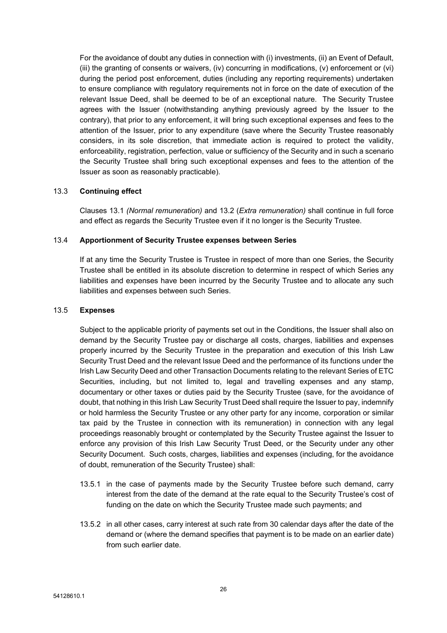For the avoidance of doubt any duties in connection with (i) investments, (ii) an Event of Default, (iii) the granting of consents or waivers, (iv) concurring in modifications, (v) enforcement or (vi) during the period post enforcement, duties (including any reporting requirements) undertaken to ensure compliance with regulatory requirements not in force on the date of execution of the relevant Issue Deed, shall be deemed to be of an exceptional nature. The Security Trustee agrees with the Issuer (notwithstanding anything previously agreed by the Issuer to the contrary), that prior to any enforcement, it will bring such exceptional expenses and fees to the attention of the Issuer, prior to any expenditure (save where the Security Trustee reasonably considers, in its sole discretion, that immediate action is required to protect the validity, enforceability, registration, perfection, value or sufficiency of the Security and in such a scenario the Security Trustee shall bring such exceptional expenses and fees to the attention of the Issuer as soon as reasonably practicable).

### 13.3 **Continuing effect**

Clauses [13.1](#page-25-2) *(Normal remuneration)* and [13.2](#page-25-1) (*Extra remuneration)* shall continue in full force and effect as regards the Security Trustee even if it no longer is the Security Trustee.

### 13.4 **Apportionment of Security Trustee expenses between Series**

If at any time the Security Trustee is Trustee in respect of more than one Series, the Security Trustee shall be entitled in its absolute discretion to determine in respect of which Series any liabilities and expenses have been incurred by the Security Trustee and to allocate any such liabilities and expenses between such Series.

#### 13.5 **Expenses**

Subject to the applicable priority of payments set out in the Conditions, the Issuer shall also on demand by the Security Trustee pay or discharge all costs, charges, liabilities and expenses properly incurred by the Security Trustee in the preparation and execution of this Irish Law Security Trust Deed and the relevant Issue Deed and the performance of its functions under the Irish Law Security Deed and other Transaction Documents relating to the relevant Series of ETC Securities, including, but not limited to, legal and travelling expenses and any stamp, documentary or other taxes or duties paid by the Security Trustee (save, for the avoidance of doubt, that nothing in this Irish Law Security Trust Deed shall require the Issuer to pay, indemnify or hold harmless the Security Trustee or any other party for any income, corporation or similar tax paid by the Trustee in connection with its remuneration) in connection with any legal proceedings reasonably brought or contemplated by the Security Trustee against the Issuer to enforce any provision of this Irish Law Security Trust Deed, or the Security under any other Security Document. Such costs, charges, liabilities and expenses (including, for the avoidance of doubt, remuneration of the Security Trustee) shall:

- 13.5.1 in the case of payments made by the Security Trustee before such demand, carry interest from the date of the demand at the rate equal to the Security Trustee's cost of funding on the date on which the Security Trustee made such payments; and
- 13.5.2 in all other cases, carry interest at such rate from 30 calendar days after the date of the demand or (where the demand specifies that payment is to be made on an earlier date) from such earlier date.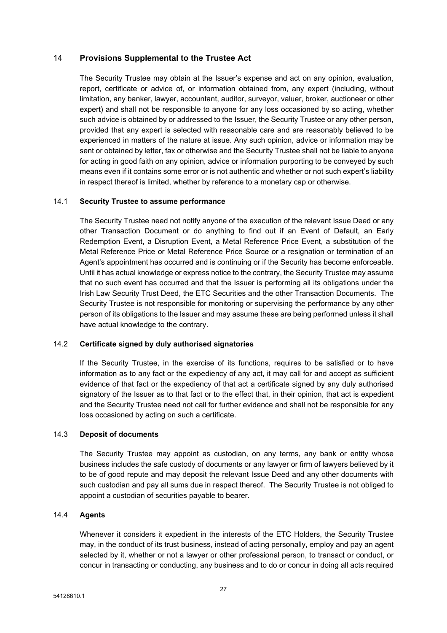## <span id="page-27-0"></span>14 **Provisions Supplemental to the Trustee Act**

The Security Trustee may obtain at the Issuer's expense and act on any opinion, evaluation, report, certificate or advice of, or information obtained from, any expert (including, without limitation, any banker, lawyer, accountant, auditor, surveyor, valuer, broker, auctioneer or other expert) and shall not be responsible to anyone for any loss occasioned by so acting, whether such advice is obtained by or addressed to the Issuer, the Security Trustee or any other person, provided that any expert is selected with reasonable care and are reasonably believed to be experienced in matters of the nature at issue. Any such opinion, advice or information may be sent or obtained by letter, fax or otherwise and the Security Trustee shall not be liable to anyone for acting in good faith on any opinion, advice or information purporting to be conveyed by such means even if it contains some error or is not authentic and whether or not such expert's liability in respect thereof is limited, whether by reference to a monetary cap or otherwise.

#### 14.1 **Security Trustee to assume performance**

The Security Trustee need not notify anyone of the execution of the relevant Issue Deed or any other Transaction Document or do anything to find out if an Event of Default, an Early Redemption Event, a Disruption Event, a Metal Reference Price Event, a substitution of the Metal Reference Price or Metal Reference Price Source or a resignation or termination of an Agent's appointment has occurred and is continuing or if the Security has become enforceable. Until it has actual knowledge or express notice to the contrary, the Security Trustee may assume that no such event has occurred and that the Issuer is performing all its obligations under the Irish Law Security Trust Deed, the ETC Securities and the other Transaction Documents. The Security Trustee is not responsible for monitoring or supervising the performance by any other person of its obligations to the Issuer and may assume these are being performed unless it shall have actual knowledge to the contrary.

### 14.2 **Certificate signed by duly authorised signatories**

If the Security Trustee, in the exercise of its functions, requires to be satisfied or to have information as to any fact or the expediency of any act, it may call for and accept as sufficient evidence of that fact or the expediency of that act a certificate signed by any duly authorised signatory of the Issuer as to that fact or to the effect that, in their opinion, that act is expedient and the Security Trustee need not call for further evidence and shall not be responsible for any loss occasioned by acting on such a certificate.

#### 14.3 **Deposit of documents**

The Security Trustee may appoint as custodian, on any terms, any bank or entity whose business includes the safe custody of documents or any lawyer or firm of lawyers believed by it to be of good repute and may deposit the relevant Issue Deed and any other documents with such custodian and pay all sums due in respect thereof. The Security Trustee is not obliged to appoint a custodian of securities payable to bearer.

#### 14.4 **Agents**

Whenever it considers it expedient in the interests of the ETC Holders, the Security Trustee may, in the conduct of its trust business, instead of acting personally, employ and pay an agent selected by it, whether or not a lawyer or other professional person, to transact or conduct, or concur in transacting or conducting, any business and to do or concur in doing all acts required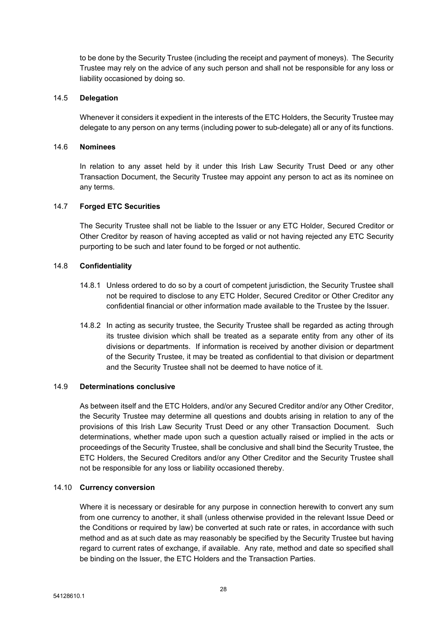to be done by the Security Trustee (including the receipt and payment of moneys). The Security Trustee may rely on the advice of any such person and shall not be responsible for any loss or liability occasioned by doing so.

### 14.5 **Delegation**

Whenever it considers it expedient in the interests of the ETC Holders, the Security Trustee may delegate to any person on any terms (including power to sub-delegate) all or any of its functions.

## 14.6 **Nominees**

In relation to any asset held by it under this Irish Law Security Trust Deed or any other Transaction Document, the Security Trustee may appoint any person to act as its nominee on any terms.

#### 14.7 **Forged ETC Securities**

The Security Trustee shall not be liable to the Issuer or any ETC Holder, Secured Creditor or Other Creditor by reason of having accepted as valid or not having rejected any ETC Security purporting to be such and later found to be forged or not authentic.

#### 14.8 **Confidentiality**

- 14.8.1 Unless ordered to do so by a court of competent jurisdiction, the Security Trustee shall not be required to disclose to any ETC Holder, Secured Creditor or Other Creditor any confidential financial or other information made available to the Trustee by the Issuer.
- 14.8.2 In acting as security trustee, the Security Trustee shall be regarded as acting through its trustee division which shall be treated as a separate entity from any other of its divisions or departments. If information is received by another division or department of the Security Trustee, it may be treated as confidential to that division or department and the Security Trustee shall not be deemed to have notice of it.

#### 14.9 **Determinations conclusive**

As between itself and the ETC Holders, and/or any Secured Creditor and/or any Other Creditor, the Security Trustee may determine all questions and doubts arising in relation to any of the provisions of this Irish Law Security Trust Deed or any other Transaction Document. Such determinations, whether made upon such a question actually raised or implied in the acts or proceedings of the Security Trustee, shall be conclusive and shall bind the Security Trustee, the ETC Holders, the Secured Creditors and/or any Other Creditor and the Security Trustee shall not be responsible for any loss or liability occasioned thereby.

#### 14.10 **Currency conversion**

Where it is necessary or desirable for any purpose in connection herewith to convert any sum from one currency to another, it shall (unless otherwise provided in the relevant Issue Deed or the Conditions or required by law) be converted at such rate or rates, in accordance with such method and as at such date as may reasonably be specified by the Security Trustee but having regard to current rates of exchange, if available. Any rate, method and date so specified shall be binding on the Issuer, the ETC Holders and the Transaction Parties.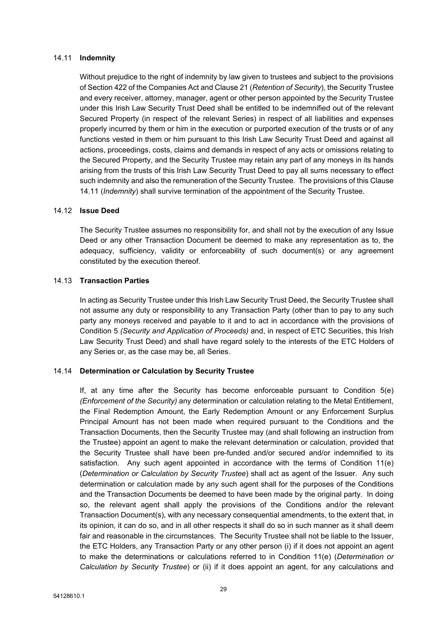#### <span id="page-29-0"></span>14.11 **Indemnity**

Without prejudice to the right of indemnity by law given to trustees and subject to the provisions of Section 422 of the Companies Act and Clause [21](#page-37-0) (*[Retention](#page-37-0) of Security*), the Security Trustee and every receiver, attorney, manager, agent or other person appointed by the Security Trustee under this Irish Law Security Trust Deed shall be entitled to be indemnified out of the relevant Secured Property (in respect of the relevant Series) in respect of all liabilities and expenses properly incurred by them or him in the execution or purported execution of the trusts or of any functions vested in them or him pursuant to this Irish Law Security Trust Deed and against all actions, proceedings, costs, claims and demands in respect of any acts or omissions relating to the Secured Property, and the Security Trustee may retain any part of any moneys in its hands arising from the trusts of this Irish Law Security Trust Deed to pay all sums necessary to effect such indemnity and also the remuneration of the Security Trustee. The provisions of this Clause [14.11](#page-29-0) (*[Indemnity](#page-29-0)*) shall survive termination of the appointment of the Security Trustee.

## 14.12 **Issue Deed**

The Security Trustee assumes no responsibility for, and shall not by the execution of any Issue Deed or any other Transaction Document be deemed to make any representation as to, the adequacy, sufficiency, validity or enforceability of such document(s) or any agreement constituted by the execution thereof.

#### 14.13 **Transaction Parties**

In acting as Security Trustee under this Irish Law Security Trust Deed, the Security Trustee shall not assume any duty or responsibility to any Transaction Party (other than to pay to any such party any moneys received and payable to it and to act in accordance with the provisions of Condition 5 *(Security and Application of Proceeds)* and, in respect of ETC Securities, this Irish Law Security Trust Deed) and shall have regard solely to the interests of the ETC Holders of any Series or, as the case may be, all Series.

### 14.14 **Determination or Calculation by Security Trustee**

If, at any time after the Security has become enforceable pursuant to Condition  $5(e)$ *(Enforcement of the Security)* any determination or calculation relating to the Metal Entitlement, the Final Redemption Amount, the Early Redemption Amount or any Enforcement Surplus Principal Amount has not been made when required pursuant to the Conditions and the Transaction Documents, then the Security Trustee may (and shall following an instruction from the Trustee) appoint an agent to make the relevant determination or calculation, provided that the Security Trustee shall have been pre-funded and/or secured and/or indemnified to its satisfaction. Any such agent appointed in accordance with the terms of Condition 11(e) (*Determination or Calculation by Security Trustee*) shall act as agent of the Issuer. Any such determination or calculation made by any such agent shall for the purposes of the Conditions and the Transaction Documents be deemed to have been made by the original party. In doing so, the relevant agent shall apply the provisions of the Conditions and/or the relevant Transaction Document(s), with any necessary consequential amendments, to the extent that, in its opinion, it can do so, and in all other respects it shall do so in such manner as it shall deem fair and reasonable in the circumstances. The Security Trustee shall not be liable to the Issuer, the ETC Holders, any Transaction Party or any other person (i) if it does not appoint an agent to make the determinations or calculations referred to in Condition 11(e) (*Determination or Calculation by Security Trustee*) or (ii) if it does appoint an agent, for any calculations and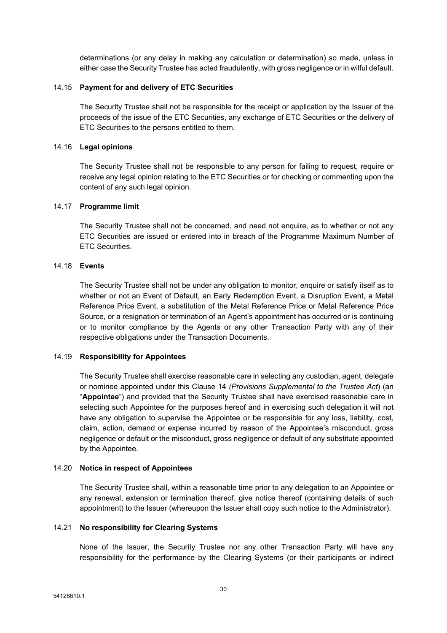determinations (or any delay in making any calculation or determination) so made, unless in either case the Security Trustee has acted fraudulently, with gross negligence or in wilful default.

#### 14.15 **Payment for and delivery of ETC Securities**

The Security Trustee shall not be responsible for the receipt or application by the Issuer of the proceeds of the issue of the ETC Securities, any exchange of ETC Securities or the delivery of ETC Securities to the persons entitled to them.

#### 14.16 **Legal opinions**

The Security Trustee shall not be responsible to any person for failing to request, require or receive any legal opinion relating to the ETC Securities or for checking or commenting upon the content of any such legal opinion.

#### 14.17 **Programme limit**

The Security Trustee shall not be concerned, and need not enquire, as to whether or not any ETC Securities are issued or entered into in breach of the Programme Maximum Number of ETC Securities.

#### 14.18 **Events**

The Security Trustee shall not be under any obligation to monitor, enquire or satisfy itself as to whether or not an Event of Default, an Early Redemption Event, a Disruption Event, a Metal Reference Price Event, a substitution of the Metal Reference Price or Metal Reference Price Source, or a resignation or termination of an Agent's appointment has occurred or is continuing or to monitor compliance by the Agents or any other Transaction Party with any of their respective obligations under the Transaction Documents.

#### 14.19 **Responsibility for Appointees**

The Security Trustee shall exercise reasonable care in selecting any custodian, agent, delegate or nominee appointed under this Clause [14](#page-27-0) *(Provisions Supplemental to the Trustee Act*) (an "**Appointee**") and provided that the Security Trustee shall have exercised reasonable care in selecting such Appointee for the purposes hereof and in exercising such delegation it will not have any obligation to supervise the Appointee or be responsible for any loss, liability, cost, claim, action, demand or expense incurred by reason of the Appointee's misconduct, gross negligence or default or the misconduct, gross negligence or default of any substitute appointed by the Appointee.

#### 14.20 **Notice in respect of Appointees**

The Security Trustee shall, within a reasonable time prior to any delegation to an Appointee or any renewal, extension or termination thereof, give notice thereof (containing details of such appointment) to the Issuer (whereupon the Issuer shall copy such notice to the Administrator).

#### 14.21 **No responsibility for Clearing Systems**

None of the Issuer, the Security Trustee nor any other Transaction Party will have any responsibility for the performance by the Clearing Systems (or their participants or indirect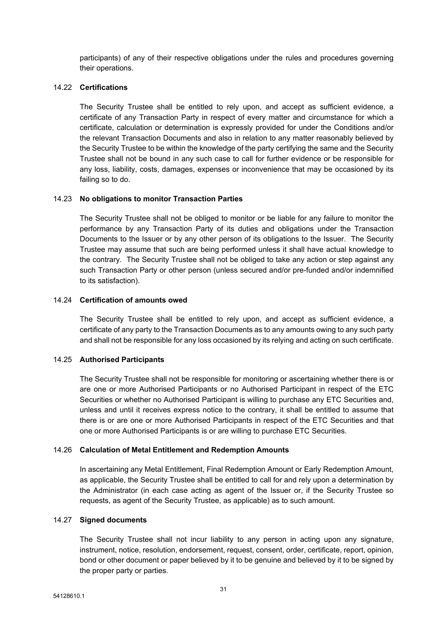participants) of any of their respective obligations under the rules and procedures governing their operations.

#### 14.22 **Certifications**

The Security Trustee shall be entitled to rely upon, and accept as sufficient evidence, a certificate of any Transaction Party in respect of every matter and circumstance for which a certificate, calculation or determination is expressly provided for under the Conditions and/or the relevant Transaction Documents and also in relation to any matter reasonably believed by the Security Trustee to be within the knowledge of the party certifying the same and the Security Trustee shall not be bound in any such case to call for further evidence or be responsible for any loss, liability, costs, damages, expenses or inconvenience that may be occasioned by its failing so to do.

#### 14.23 **No obligations to monitor Transaction Parties**

The Security Trustee shall not be obliged to monitor or be liable for any failure to monitor the performance by any Transaction Party of its duties and obligations under the Transaction Documents to the Issuer or by any other person of its obligations to the Issuer. The Security Trustee may assume that such are being performed unless it shall have actual knowledge to the contrary. The Security Trustee shall not be obliged to take any action or step against any such Transaction Party or other person (unless secured and/or pre-funded and/or indemnified to its satisfaction).

#### 14.24 **Certification of amounts owed**

The Security Trustee shall be entitled to rely upon, and accept as sufficient evidence, a certificate of any party to the Transaction Documents as to any amounts owing to any such party and shall not be responsible for any loss occasioned by its relying and acting on such certificate.

### 14.25 **Authorised Participants**

The Security Trustee shall not be responsible for monitoring or ascertaining whether there is or are one or more Authorised Participants or no Authorised Participant in respect of the ETC Securities or whether no Authorised Participant is willing to purchase any ETC Securities and, unless and until it receives express notice to the contrary, it shall be entitled to assume that there is or are one or more Authorised Participants in respect of the ETC Securities and that one or more Authorised Participants is or are willing to purchase ETC Securities.

#### 14.26 **Calculation of Metal Entitlement and Redemption Amounts**

In ascertaining any Metal Entitlement, Final Redemption Amount or Early Redemption Amount, as applicable, the Security Trustee shall be entitled to call for and rely upon a determination by the Administrator (in each case acting as agent of the Issuer or, if the Security Trustee so requests, as agent of the Security Trustee, as applicable) as to such amount.

#### 14.27 **Signed documents**

The Security Trustee shall not incur liability to any person in acting upon any signature, instrument, notice, resolution, endorsement, request, consent, order, certificate, report, opinion, bond or other document or paper believed by it to be genuine and believed by it to be signed by the proper party or parties.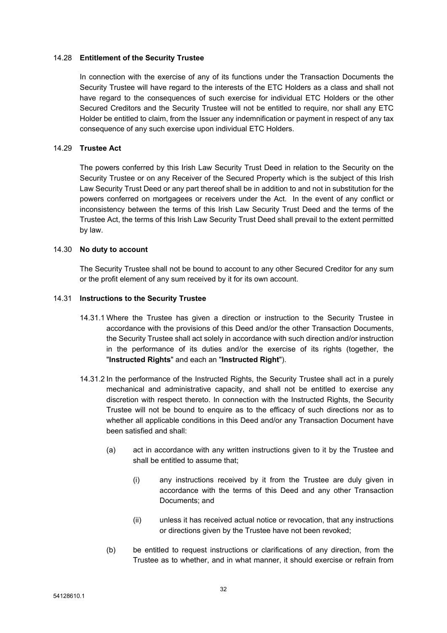#### 14.28 **Entitlement of the Security Trustee**

In connection with the exercise of any of its functions under the Transaction Documents the Security Trustee will have regard to the interests of the ETC Holders as a class and shall not have regard to the consequences of such exercise for individual ETC Holders or the other Secured Creditors and the Security Trustee will not be entitled to require, nor shall any ETC Holder be entitled to claim, from the Issuer any indemnification or payment in respect of any tax consequence of any such exercise upon individual ETC Holders.

#### 14.29 **Trustee Act**

The powers conferred by this Irish Law Security Trust Deed in relation to the Security on the Security Trustee or on any Receiver of the Secured Property which is the subject of this Irish Law Security Trust Deed or any part thereof shall be in addition to and not in substitution for the powers conferred on mortgagees or receivers under the Act. In the event of any conflict or inconsistency between the terms of this Irish Law Security Trust Deed and the terms of the Trustee Act, the terms of this Irish Law Security Trust Deed shall prevail to the extent permitted by law.

#### 14.30 **No duty to account**

The Security Trustee shall not be bound to account to any other Secured Creditor for any sum or the profit element of any sum received by it for its own account.

#### 14.31 **Instructions to the Security Trustee**

- <span id="page-32-0"></span>14.31.1 Where the Trustee has given a direction or instruction to the Security Trustee in accordance with the provisions of this Deed and/or the other Transaction Documents, the Security Trustee shall act solely in accordance with such direction and/or instruction in the performance of its duties and/or the exercise of its rights (together, the "**Instructed Rights**" and each an "**Instructed Right**").
- 14.31.2 In the performance of the Instructed Rights, the Security Trustee shall act in a purely mechanical and administrative capacity, and shall not be entitled to exercise any discretion with respect thereto. In connection with the Instructed Rights, the Security Trustee will not be bound to enquire as to the efficacy of such directions nor as to whether all applicable conditions in this Deed and/or any Transaction Document have been satisfied and shall:
	- (a) act in accordance with any written instructions given to it by the Trustee and shall be entitled to assume that;
		- (i) any instructions received by it from the Trustee are duly given in accordance with the terms of this Deed and any other Transaction Documents; and
		- (ii) unless it has received actual notice or revocation, that any instructions or directions given by the Trustee have not been revoked;
	- (b) be entitled to request instructions or clarifications of any direction, from the Trustee as to whether, and in what manner, it should exercise or refrain from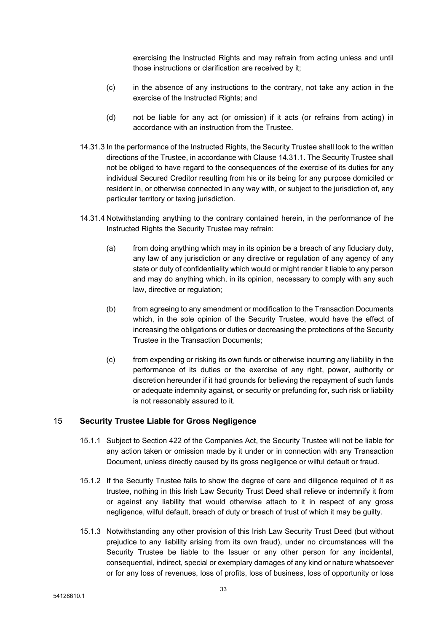exercising the Instructed Rights and may refrain from acting unless and until those instructions or clarification are received by it;

- (c) in the absence of any instructions to the contrary, not take any action in the exercise of the Instructed Rights; and
- (d) not be liable for any act (or omission) if it acts (or refrains from acting) in accordance with an instruction from the Trustee.
- 14.31.3 In the performance of the Instructed Rights, the Security Trustee shall look to the written directions of the Trustee, in accordance with Clause [14.31.1](#page-32-0). The Security Trustee shall not be obliged to have regard to the consequences of the exercise of its duties for any individual Secured Creditor resulting from his or its being for any purpose domiciled or resident in, or otherwise connected in any way with, or subject to the jurisdiction of, any particular territory or taxing jurisdiction.
- 14.31.4 Notwithstanding anything to the contrary contained herein, in the performance of the Instructed Rights the Security Trustee may refrain:
	- (a) from doing anything which may in its opinion be a breach of any fiduciary duty, any law of any jurisdiction or any directive or regulation of any agency of any state or duty of confidentiality which would or might render it liable to any person and may do anything which, in its opinion, necessary to comply with any such law, directive or regulation;
	- (b) from agreeing to any amendment or modification to the Transaction Documents which, in the sole opinion of the Security Trustee, would have the effect of increasing the obligations or duties or decreasing the protections of the Security Trustee in the Transaction Documents;
	- (c) from expending or risking its own funds or otherwise incurring any liability in the performance of its duties or the exercise of any right, power, authority or discretion hereunder if it had grounds for believing the repayment of such funds or adequate indemnity against, or security or prefunding for, such risk or liability is not reasonably assured to it.

## <span id="page-33-0"></span>15 **Security Trustee Liable for Gross Negligence**

- 15.1.1 Subject to Section 422 of the Companies Act, the Security Trustee will not be liable for any action taken or omission made by it under or in connection with any Transaction Document, unless directly caused by its gross negligence or wilful default or fraud.
- 15.1.2 If the Security Trustee fails to show the degree of care and diligence required of it as trustee, nothing in this Irish Law Security Trust Deed shall relieve or indemnify it from or against any liability that would otherwise attach to it in respect of any gross negligence, wilful default, breach of duty or breach of trust of which it may be guilty.
- 15.1.3 Notwithstanding any other provision of this Irish Law Security Trust Deed (but without prejudice to any liability arising from its own fraud), under no circumstances will the Security Trustee be liable to the Issuer or any other person for any incidental, consequential, indirect, special or exemplary damages of any kind or nature whatsoever or for any loss of revenues, loss of profits, loss of business, loss of opportunity or loss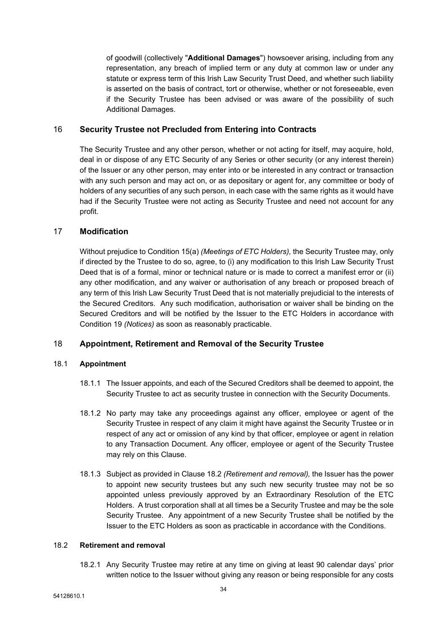of goodwill (collectively "**Additional Damages**") howsoever arising, including from any representation, any breach of implied term or any duty at common law or under any statute or express term of this Irish Law Security Trust Deed, and whether such liability is asserted on the basis of contract, tort or otherwise, whether or not foreseeable, even if the Security Trustee has been advised or was aware of the possibility of such Additional Damages.

## <span id="page-34-0"></span>16 **Security Trustee not Precluded from Entering into Contracts**

The Security Trustee and any other person, whether or not acting for itself, may acquire, hold, deal in or dispose of any ETC Security of any Series or other security (or any interest therein) of the Issuer or any other person, may enter into or be interested in any contract or transaction with any such person and may act on, or as depositary or agent for, any committee or body of holders of any securities of any such person, in each case with the same rights as it would have had if the Security Trustee were not acting as Security Trustee and need not account for any profit.

## <span id="page-34-1"></span>17 **Modification**

Without prejudice to Condition 15(a) *(Meetings of ETC Holders),* the Security Trustee may, only if directed by the Trustee to do so, agree, to (i) any modification to this Irish Law Security Trust Deed that is of a formal, minor or technical nature or is made to correct a manifest error or (ii) any other modification, and any waiver or authorisation of any breach or proposed breach of any term of this Irish Law Security Trust Deed that is not materially prejudicial to the interests of the Secured Creditors. Any such modification, authorisation or waiver shall be binding on the Secured Creditors and will be notified by the Issuer to the ETC Holders in accordance with Condition 19 *(Notices)* as soon as reasonably practicable.

## <span id="page-34-2"></span>18 **Appointment, Retirement and Removal of the Security Trustee**

### <span id="page-34-4"></span>18.1 **Appointment**

- 18.1.1 The Issuer appoints, and each of the Secured Creditors shall be deemed to appoint, the Security Trustee to act as security trustee in connection with the Security Documents.
- 18.1.2 No party may take any proceedings against any officer, employee or agent of the Security Trustee in respect of any claim it might have against the Security Trustee or in respect of any act or omission of any kind by that officer, employee or agent in relation to any Transaction Document. Any officer, employee or agent of the Security Trustee may rely on this Clause.
- 18.1.3 Subject as provided in Clause [18.2](#page-34-3) *(Retirement and removal),* the Issuer has the power to appoint new security trustees but any such new security trustee may not be so appointed unless previously approved by an Extraordinary Resolution of the ETC Holders. A trust corporation shall at all times be a Security Trustee and may be the sole Security Trustee. Any appointment of a new Security Trustee shall be notified by the Issuer to the ETC Holders as soon as practicable in accordance with the Conditions.

## <span id="page-34-3"></span>18.2 **Retirement and removal**

18.2.1 Any Security Trustee may retire at any time on giving at least 90 calendar days' prior written notice to the Issuer without giving any reason or being responsible for any costs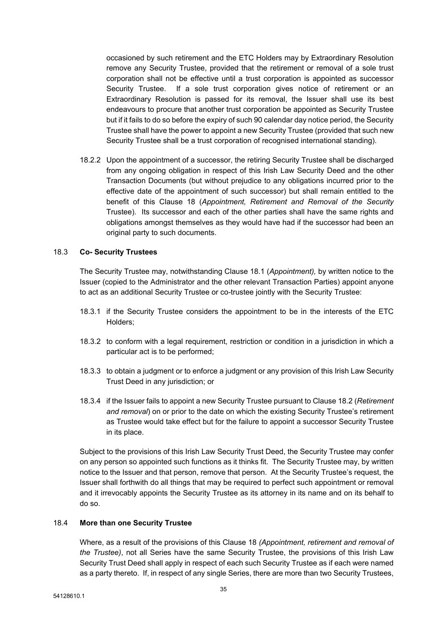occasioned by such retirement and the ETC Holders may by Extraordinary Resolution remove any Security Trustee, provided that the retirement or removal of a sole trust corporation shall not be effective until a trust corporation is appointed as successor Security Trustee. If a sole trust corporation gives notice of retirement or an Extraordinary Resolution is passed for its removal, the Issuer shall use its best endeavours to procure that another trust corporation be appointed as Security Trustee but if it fails to do so before the expiry of such 90 calendar day notice period, the Security Trustee shall have the power to appoint a new Security Trustee (provided that such new Security Trustee shall be a trust corporation of recognised international standing).

18.2.2 Upon the appointment of a successor, the retiring Security Trustee shall be discharged from any ongoing obligation in respect of this Irish Law Security Deed and the other Transaction Documents (but without prejudice to any obligations incurred prior to the effective date of the appointment of such successor) but shall remain entitled to the benefit of this Clause [18](#page-34-2) (*[Appointment,](#page-34-2) Retirement and Removal of the Security* [Trustee\)](#page-34-2). Its successor and each of the other parties shall have the same rights and obligations amongst themselves as they would have had if the successor had been an original party to such documents.

### 18.3 **Co- Security Trustees**

The Security Trustee may, notwithstanding Clause [18.1](#page-34-4) (*Appointment),* by written notice to the Issuer (copied to the Administrator and the other relevant Transaction Parties) appoint anyone to act as an additional Security Trustee or co-trustee jointly with the Security Trustee:

- 18.3.1 if the Security Trustee considers the appointment to be in the interests of the ETC Holders;
- 18.3.2 to conform with a legal requirement, restriction or condition in a jurisdiction in which a particular act is to be performed;
- 18.3.3 to obtain a judgment or to enforce a judgment or any provision of this Irish Law Security Trust Deed in any jurisdiction; or
- 18.3.4 if the Issuer fails to appoint a new Security Trustee pursuant to Clause [18.2](#page-34-3) (*[Retirement](#page-34-3) and [removal](#page-34-3)*) on or prior to the date on which the existing Security Trustee's retirement as Trustee would take effect but for the failure to appoint a successor Security Trustee in its place.

Subject to the provisions of this Irish Law Security Trust Deed, the Security Trustee may confer on any person so appointed such functions as it thinks fit. The Security Trustee may, by written notice to the Issuer and that person, remove that person. At the Security Trustee's request, the Issuer shall forthwith do all things that may be required to perfect such appointment or removal and it irrevocably appoints the Security Trustee as its attorney in its name and on its behalf to do so.

#### 18.4 **More than one Security Trustee**

Where, as a result of the provisions of this Clause [18](#page-34-2) *(Appointment, retirement and removal of the Trustee)*, not all Series have the same Security Trustee, the provisions of this Irish Law Security Trust Deed shall apply in respect of each such Security Trustee as if each were named as a party thereto. If, in respect of any single Series, there are more than two Security Trustees,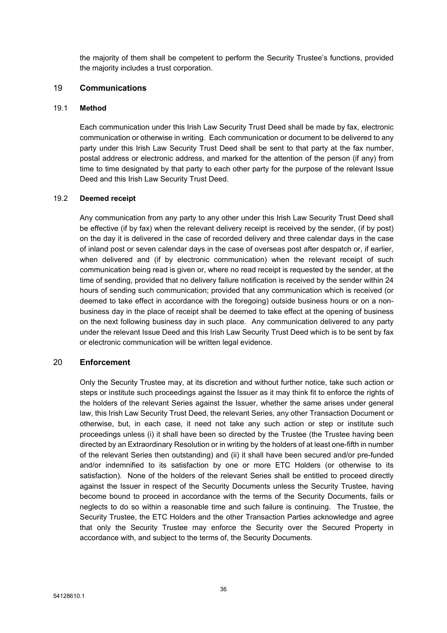the majority of them shall be competent to perform the Security Trustee's functions, provided the majority includes a trust corporation.

### <span id="page-36-0"></span>19 **Communications**

#### 19.1 **Method**

Each communication under this Irish Law Security Trust Deed shall be made by fax, electronic communication or otherwise in writing. Each communication or document to be delivered to any party under this Irish Law Security Trust Deed shall be sent to that party at the fax number, postal address or electronic address, and marked for the attention of the person (if any) from time to time designated by that party to each other party for the purpose of the relevant Issue Deed and this Irish Law Security Trust Deed.

#### 19.2 **Deemed receipt**

Any communication from any party to any other under this Irish Law Security Trust Deed shall be effective (if by fax) when the relevant delivery receipt is received by the sender, (if by post) on the day it is delivered in the case of recorded delivery and three calendar days in the case of inland post or seven calendar days in the case of overseas post after despatch or, if earlier, when delivered and (if by electronic communication) when the relevant receipt of such communication being read is given or, where no read receipt is requested by the sender, at the time of sending, provided that no delivery failure notification is received by the sender within 24 hours of sending such communication; provided that any communication which is received (or deemed to take effect in accordance with the foregoing) outside business hours or on a nonbusiness day in the place of receipt shall be deemed to take effect at the opening of business on the next following business day in such place. Any communication delivered to any party under the relevant Issue Deed and this Irish Law Security Trust Deed which is to be sent by fax or electronic communication will be written legal evidence.

## <span id="page-36-1"></span>20 **Enforcement**

Only the Security Trustee may, at its discretion and without further notice, take such action or steps or institute such proceedings against the Issuer as it may think fit to enforce the rights of the holders of the relevant Series against the Issuer, whether the same arises under general law, this Irish Law Security Trust Deed, the relevant Series, any other Transaction Document or otherwise, but, in each case, it need not take any such action or step or institute such proceedings unless (i) it shall have been so directed by the Trustee (the Trustee having been directed by an Extraordinary Resolution or in writing by the holders of at least one-fifth in number of the relevant Series then outstanding) and (ii) it shall have been secured and/or pre-funded and/or indemnified to its satisfaction by one or more ETC Holders (or otherwise to its satisfaction). None of the holders of the relevant Series shall be entitled to proceed directly against the Issuer in respect of the Security Documents unless the Security Trustee, having become bound to proceed in accordance with the terms of the Security Documents, fails or neglects to do so within a reasonable time and such failure is continuing. The Trustee, the Security Trustee, the ETC Holders and the other Transaction Parties acknowledge and agree that only the Security Trustee may enforce the Security over the Secured Property in accordance with, and subject to the terms of, the Security Documents.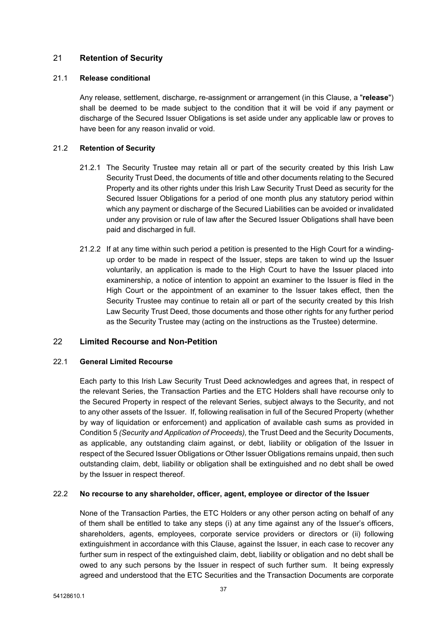## <span id="page-37-0"></span>21 **Retention of Security**

#### 21.1 **Release conditional**

Any release, settlement, discharge, re-assignment or arrangement (in this Clause, a "**release**") shall be deemed to be made subject to the condition that it will be void if any payment or discharge of the Secured Issuer Obligations is set aside under any applicable law or proves to have been for any reason invalid or void.

### 21.2 **Retention of Security**

- 21.2.1 The Security Trustee may retain all or part of the security created by this Irish Law Security Trust Deed, the documents of title and other documents relating to the Secured Property and its other rights under this Irish Law Security Trust Deed as security for the Secured Issuer Obligations for a period of one month plus any statutory period within which any payment or discharge of the Secured Liabilities can be avoided or invalidated under any provision or rule of law after the Secured Issuer Obligations shall have been paid and discharged in full.
- 21.2.2 If at any time within such period a petition is presented to the High Court for a windingup order to be made in respect of the Issuer, steps are taken to wind up the Issuer voluntarily, an application is made to the High Court to have the Issuer placed into examinership, a notice of intention to appoint an examiner to the Issuer is filed in the High Court or the appointment of an examiner to the Issuer takes effect, then the Security Trustee may continue to retain all or part of the security created by this Irish Law Security Trust Deed, those documents and those other rights for any further period as the Security Trustee may (acting on the instructions as the Trustee) determine.

## <span id="page-37-1"></span>22 **Limited Recourse and Non-Petition**

#### 22.1 **General Limited Recourse**

Each party to this Irish Law Security Trust Deed acknowledges and agrees that, in respect of the relevant Series, the Transaction Parties and the ETC Holders shall have recourse only to the Secured Property in respect of the relevant Series, subject always to the Security, and not to any other assets of the Issuer. If, following realisation in full of the Secured Property (whether by way of liquidation or enforcement) and application of available cash sums as provided in Condition 5 *(Security and Application of Proceeds),* the Trust Deed and the Security Documents, as applicable, any outstanding claim against, or debt, liability or obligation of the Issuer in respect of the Secured Issuer Obligations or Other Issuer Obligations remains unpaid, then such outstanding claim, debt, liability or obligation shall be extinguished and no debt shall be owed by the Issuer in respect thereof.

### 22.2 **No recourse to any shareholder, officer, agent, employee or director of the Issuer**

None of the Transaction Parties, the ETC Holders or any other person acting on behalf of any of them shall be entitled to take any steps (i) at any time against any of the Issuer's officers, shareholders, agents, employees, corporate service providers or directors or (ii) following extinguishment in accordance with this Clause, against the Issuer, in each case to recover any further sum in respect of the extinguished claim, debt, liability or obligation and no debt shall be owed to any such persons by the Issuer in respect of such further sum. It being expressly agreed and understood that the ETC Securities and the Transaction Documents are corporate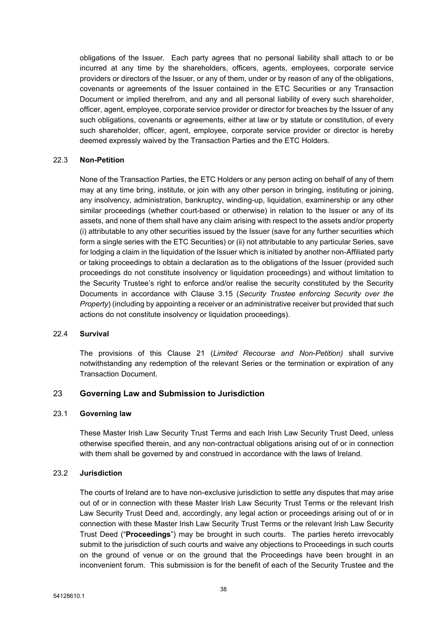obligations of the Issuer. Each party agrees that no personal liability shall attach to or be incurred at any time by the shareholders, officers, agents, employees, corporate service providers or directors of the Issuer, or any of them, under or by reason of any of the obligations, covenants or agreements of the Issuer contained in the ETC Securities or any Transaction Document or implied therefrom, and any and all personal liability of every such shareholder, officer, agent, employee, corporate service provider or director for breaches by the Issuer of any such obligations, covenants or agreements, either at law or by statute or constitution, of every such shareholder, officer, agent, employee, corporate service provider or director is hereby deemed expressly waived by the Transaction Parties and the ETC Holders.

#### 22.3 **Non-Petition**

None of the Transaction Parties, the ETC Holders or any person acting on behalf of any of them may at any time bring, institute, or join with any other person in bringing, instituting or joining, any insolvency, administration, bankruptcy, winding-up, liquidation, examinership or any other similar proceedings (whether court-based or otherwise) in relation to the Issuer or any of its assets, and none of them shall have any claim arising with respect to the assets and/or property (i) attributable to any other securities issued by the Issuer (save for any further securities which form a single series with the ETC Securities) or (ii) not attributable to any particular Series, save for lodging a claim in the liquidation of the Issuer which is initiated by another non-Affiliated party or taking proceedings to obtain a declaration as to the obligations of the Issuer (provided such proceedings do not constitute insolvency or liquidation proceedings) and without limitation to the Security Trustee's right to enforce and/or realise the security constituted by the Security Documents in accordance with Clause [3.15](#page-10-0) (*Security Trustee [enforcing](#page-10-0) Security over the [Property](#page-10-0)*) (including by appointing a receiver or an administrative receiver but provided that such actions do not constitute insolvency or liquidation proceedings).

#### 22.4 **Survival**

The provisions of this Clause [21](#page-37-0) (*Limited Recourse and Non-Petition)* shall survive notwithstanding any redemption of the relevant Series or the termination or expiration of any Transaction Document.

## <span id="page-38-0"></span>23 **Governing Law and Submission to Jurisdiction**

#### 23.1 **Governing law**

These Master Irish Law Security Trust Terms and each Irish Law Security Trust Deed, unless otherwise specified therein, and any non-contractual obligations arising out of or in connection with them shall be governed by and construed in accordance with the laws of Ireland.

#### 23.2 **Jurisdiction**

The courts of Ireland are to have non-exclusive jurisdiction to settle any disputes that may arise out of or in connection with these Master Irish Law Security Trust Terms or the relevant Irish Law Security Trust Deed and, accordingly, any legal action or proceedings arising out of or in connection with these Master Irish Law Security Trust Terms or the relevant Irish Law Security Trust Deed ("**Proceedings**") may be brought in such courts. The parties hereto irrevocably submit to the jurisdiction of such courts and waive any objections to Proceedings in such courts on the ground of venue or on the ground that the Proceedings have been brought in an inconvenient forum. This submission is for the benefit of each of the Security Trustee and the